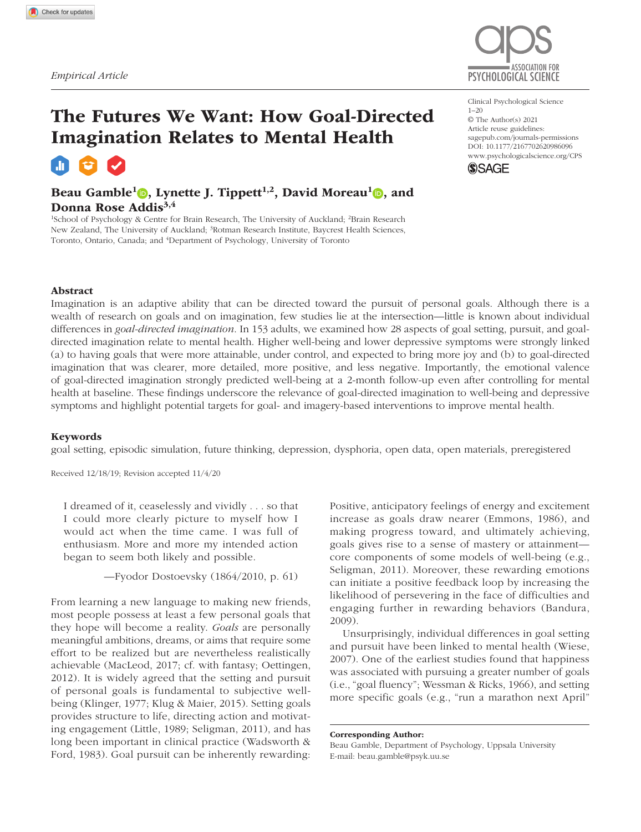

# The Futures We Want: How Goal-Directed Imagination Relates to Mental Health

Beau Gamble<sup>1</sup> , Lynette J. Tippett<sup>1,2</sup>, David Moreau<sup>1</sup> , and Donna Rose Addis<sup>3,4</sup>

<sup>1</sup>School of Psychology & Centre for Brain Research, The University of Auckland; <sup>2</sup>Brain Research New Zealand, The University of Auckland; <sup>3</sup>Rotman Research Institute, Baycrest Health Sciences, Toronto, Ontario, Canada; and <sup>4</sup>Department of Psychology, University of Toronto

Clinical Psychological Science 1–20 © The Author(s) 2021 Article reuse guidelines: [sagepub.com/journals-permissions](https://us.sagepub.com/en-us/journals-permissions) https://doi.org/10.1177/2167702620986096 DOI: 10.1177/2167702620986096 [www.psychologicalscience.org/](http://www.psychologicalscience.org/cps)CPS **SSAGE** 



Imagination is an adaptive ability that can be directed toward the pursuit of personal goals. Although there is a wealth of research on goals and on imagination, few studies lie at the intersection—little is known about individual differences in *goal-directed imagination*. In 153 adults, we examined how 28 aspects of goal setting, pursuit, and goaldirected imagination relate to mental health. Higher well-being and lower depressive symptoms were strongly linked (a) to having goals that were more attainable, under control, and expected to bring more joy and (b) to goal-directed imagination that was clearer, more detailed, more positive, and less negative. Importantly, the emotional valence of goal-directed imagination strongly predicted well-being at a 2-month follow-up even after controlling for mental health at baseline. These findings underscore the relevance of goal-directed imagination to well-being and depressive symptoms and highlight potential targets for goal- and imagery-based interventions to improve mental health.

#### Keywords

goal setting, episodic simulation, future thinking, depression, dysphoria, open data, open materials, preregistered

Received 12/18/19; Revision accepted 11/4/20

I dreamed of it, ceaselessly and vividly . . . so that I could more clearly picture to myself how I would act when the time came. I was full of enthusiasm. More and more my intended action began to seem both likely and possible.

—Fyodor Dostoevsky (1864/2010, p. 61)

From learning a new language to making new friends, most people possess at least a few personal goals that they hope will become a reality. *Goals* are personally meaningful ambitions, dreams, or aims that require some effort to be realized but are nevertheless realistically achievable (MacLeod, 2017; cf. with fantasy; Oettingen, 2012). It is widely agreed that the setting and pursuit of personal goals is fundamental to subjective wellbeing (Klinger, 1977; Klug & Maier, 2015). Setting goals provides structure to life, directing action and motivating engagement (Little, 1989; Seligman, 2011), and has long been important in clinical practice (Wadsworth & Ford, 1983). Goal pursuit can be inherently rewarding: Positive, anticipatory feelings of energy and excitement increase as goals draw nearer (Emmons, 1986), and making progress toward, and ultimately achieving, goals gives rise to a sense of mastery or attainment core components of some models of well-being (e.g., Seligman, 2011). Moreover, these rewarding emotions can initiate a positive feedback loop by increasing the likelihood of persevering in the face of difficulties and engaging further in rewarding behaviors (Bandura, 2009).

Unsurprisingly, individual differences in goal setting and pursuit have been linked to mental health (Wiese, 2007). One of the earliest studies found that happiness was associated with pursuing a greater number of goals (i.e., "goal fluency"; Wessman & Ricks, 1966), and setting more specific goals (e.g., "run a marathon next April"

Corresponding Author:

Beau Gamble, Department of Psychology, Uppsala University E-mail: [beau.gamble@psyk.uu.se](mailto:beau.gamble@psyk.uu.se)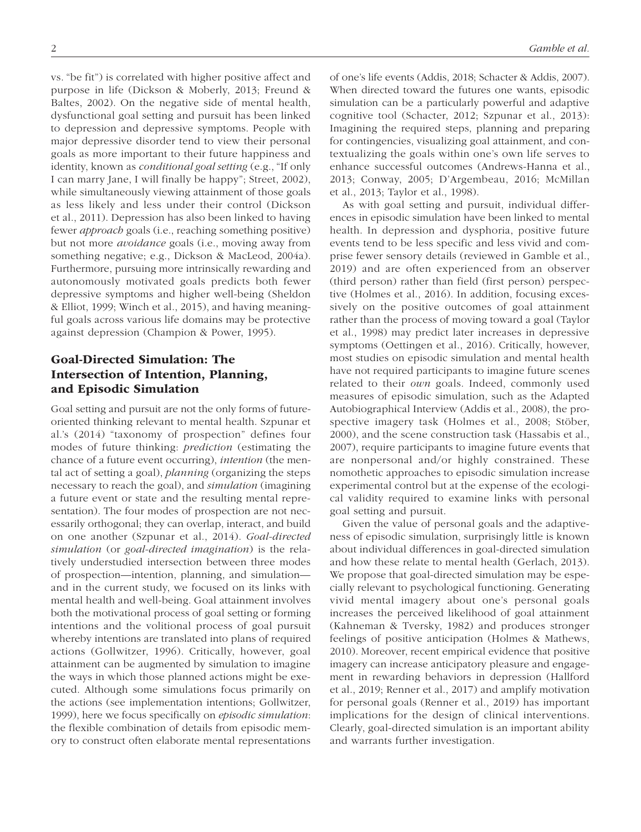vs. "be fit") is correlated with higher positive affect and purpose in life (Dickson & Moberly, 2013; Freund & Baltes, 2002). On the negative side of mental health, dysfunctional goal setting and pursuit has been linked to depression and depressive symptoms. People with major depressive disorder tend to view their personal goals as more important to their future happiness and identity, known as *conditional goal setting* (e.g., "If only I can marry Jane, I will finally be happy"; Street, 2002), while simultaneously viewing attainment of those goals as less likely and less under their control (Dickson et al., 2011). Depression has also been linked to having fewer *approach* goals (i.e., reaching something positive) but not more *avoidance* goals (i.e., moving away from something negative; e.g., Dickson & MacLeod, 2004a). Furthermore, pursuing more intrinsically rewarding and autonomously motivated goals predicts both fewer depressive symptoms and higher well-being (Sheldon & Elliot, 1999; Winch et al., 2015), and having meaningful goals across various life domains may be protective against depression (Champion & Power, 1995).

# Goal-Directed Simulation: The Intersection of Intention, Planning, and Episodic Simulation

Goal setting and pursuit are not the only forms of futureoriented thinking relevant to mental health. Szpunar et al.'s (2014) "taxonomy of prospection" defines four modes of future thinking: *prediction* (estimating the chance of a future event occurring), *intention* (the mental act of setting a goal), *planning* (organizing the steps necessary to reach the goal), and *simulation* (imagining a future event or state and the resulting mental representation). The four modes of prospection are not necessarily orthogonal; they can overlap, interact, and build on one another (Szpunar et al., 2014). *Goal-directed simulation* (or *goal-directed imagination*) is the relatively understudied intersection between three modes of prospection—intention, planning, and simulation and in the current study, we focused on its links with mental health and well-being. Goal attainment involves both the motivational process of goal setting or forming intentions and the volitional process of goal pursuit whereby intentions are translated into plans of required actions (Gollwitzer, 1996). Critically, however, goal attainment can be augmented by simulation to imagine the ways in which those planned actions might be executed. Although some simulations focus primarily on the actions (see implementation intentions; Gollwitzer, 1999), here we focus specifically on *episodic simulation*: the flexible combination of details from episodic memory to construct often elaborate mental representations of one's life events (Addis, 2018; Schacter & Addis, 2007). When directed toward the futures one wants, episodic simulation can be a particularly powerful and adaptive cognitive tool (Schacter, 2012; Szpunar et al., 2013): Imagining the required steps, planning and preparing for contingencies, visualizing goal attainment, and contextualizing the goals within one's own life serves to enhance successful outcomes (Andrews-Hanna et al., 2013; Conway, 2005; D'Argembeau, 2016; McMillan et al., 2013; Taylor et al., 1998).

As with goal setting and pursuit, individual differences in episodic simulation have been linked to mental health. In depression and dysphoria, positive future events tend to be less specific and less vivid and comprise fewer sensory details (reviewed in Gamble et al., 2019) and are often experienced from an observer (third person) rather than field (first person) perspective (Holmes et al., 2016). In addition, focusing excessively on the positive outcomes of goal attainment rather than the process of moving toward a goal (Taylor et al., 1998) may predict later increases in depressive symptoms (Oettingen et al., 2016). Critically, however, most studies on episodic simulation and mental health have not required participants to imagine future scenes related to their *own* goals. Indeed, commonly used measures of episodic simulation, such as the Adapted Autobiographical Interview (Addis et al., 2008), the prospective imagery task (Holmes et al., 2008; Stöber, 2000), and the scene construction task (Hassabis et al., 2007), require participants to imagine future events that are nonpersonal and/or highly constrained. These nomothetic approaches to episodic simulation increase experimental control but at the expense of the ecological validity required to examine links with personal goal setting and pursuit.

Given the value of personal goals and the adaptiveness of episodic simulation, surprisingly little is known about individual differences in goal-directed simulation and how these relate to mental health (Gerlach, 2013). We propose that goal-directed simulation may be especially relevant to psychological functioning. Generating vivid mental imagery about one's personal goals increases the perceived likelihood of goal attainment (Kahneman & Tversky, 1982) and produces stronger feelings of positive anticipation (Holmes & Mathews, 2010). Moreover, recent empirical evidence that positive imagery can increase anticipatory pleasure and engagement in rewarding behaviors in depression (Hallford et al., 2019; Renner et al., 2017) and amplify motivation for personal goals (Renner et al., 2019) has important implications for the design of clinical interventions. Clearly, goal-directed simulation is an important ability and warrants further investigation.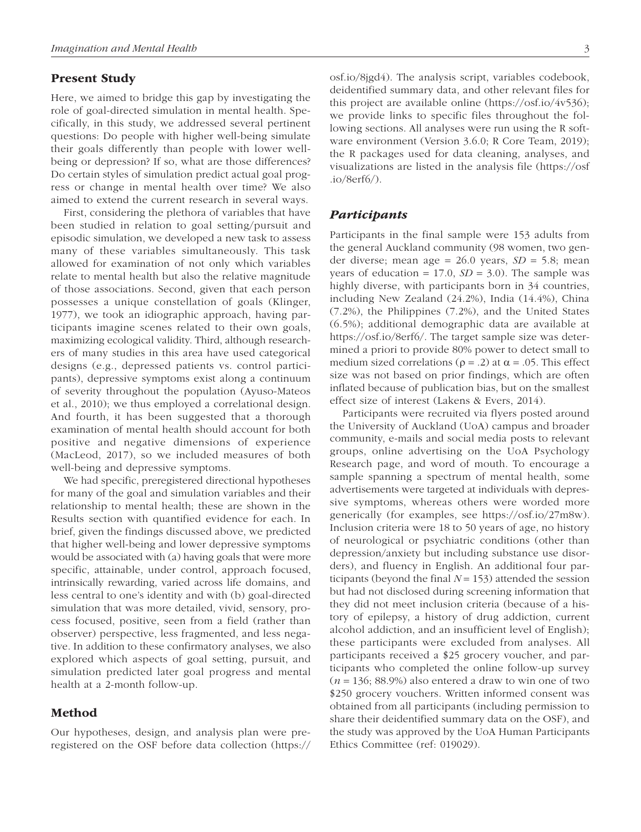## Present Study

Here, we aimed to bridge this gap by investigating the role of goal-directed simulation in mental health. Specifically, in this study, we addressed several pertinent questions: Do people with higher well-being simulate their goals differently than people with lower wellbeing or depression? If so, what are those differences? Do certain styles of simulation predict actual goal progress or change in mental health over time? We also aimed to extend the current research in several ways.

First, considering the plethora of variables that have been studied in relation to goal setting/pursuit and episodic simulation, we developed a new task to assess many of these variables simultaneously. This task allowed for examination of not only which variables relate to mental health but also the relative magnitude of those associations. Second, given that each person possesses a unique constellation of goals (Klinger, 1977), we took an idiographic approach, having participants imagine scenes related to their own goals, maximizing ecological validity. Third, although researchers of many studies in this area have used categorical designs (e.g., depressed patients vs. control participants), depressive symptoms exist along a continuum of severity throughout the population (Ayuso-Mateos et al., 2010); we thus employed a correlational design. And fourth, it has been suggested that a thorough examination of mental health should account for both positive and negative dimensions of experience (MacLeod, 2017), so we included measures of both well-being and depressive symptoms.

We had specific, preregistered directional hypotheses for many of the goal and simulation variables and their relationship to mental health; these are shown in the Results section with quantified evidence for each. In brief, given the findings discussed above, we predicted that higher well-being and lower depressive symptoms would be associated with (a) having goals that were more specific, attainable, under control, approach focused, intrinsically rewarding, varied across life domains, and less central to one's identity and with (b) goal-directed simulation that was more detailed, vivid, sensory, process focused, positive, seen from a field (rather than observer) perspective, less fragmented, and less negative. In addition to these confirmatory analyses, we also explored which aspects of goal setting, pursuit, and simulation predicted later goal progress and mental health at a 2-month follow-up.

# Method

Our hypotheses, design, and analysis plan were preregistered on the OSF before data collection ([https://](https://osf.io/8jgd4) [osf.io/8jgd4](https://osf.io/8jgd4)). The analysis script, variables codebook, deidentified summary data, and other relevant files for this project are available online [\(https://osf.io/4v536\)](https://osf.io/4v536); we provide links to specific files throughout the following sections. All analyses were run using the R software environment (Version 3.6.0; R Core Team, 2019); the R packages used for data cleaning, analyses, and visualizations are listed in the analysis file ([https://osf](https://osf.io/8erf6/)  $.io/8erf6/$ ).

### *Participants*

Participants in the final sample were 153 adults from the general Auckland community (98 women, two gender diverse; mean age = 26.0 years, *SD* = 5.8; mean years of education =  $17.0$ ,  $SD = 3.0$ ). The sample was highly diverse, with participants born in 34 countries, including New Zealand (24.2%), India (14.4%), China (7.2%), the Philippines (7.2%), and the United States (6.5%); additional demographic data are available at [https://osf.io/8erf6/.](https://osf.io/8erf6/) The target sample size was determined a priori to provide 80% power to detect small to medium sized correlations ( $\rho = .2$ ) at  $\alpha = .05$ . This effect size was not based on prior findings, which are often inflated because of publication bias, but on the smallest effect size of interest (Lakens & Evers, 2014).

Participants were recruited via flyers posted around the University of Auckland (UoA) campus and broader community, e-mails and social media posts to relevant groups, online advertising on the UoA Psychology Research page, and word of mouth. To encourage a sample spanning a spectrum of mental health, some advertisements were targeted at individuals with depressive symptoms, whereas others were worded more generically (for examples, see [https://osf.io/27m8w\)](https://osf.io/27m8w). Inclusion criteria were 18 to 50 years of age, no history of neurological or psychiatric conditions (other than depression/anxiety but including substance use disorders), and fluency in English. An additional four participants (beyond the final  $N = 153$ ) attended the session but had not disclosed during screening information that they did not meet inclusion criteria (because of a history of epilepsy, a history of drug addiction, current alcohol addiction, and an insufficient level of English); these participants were excluded from analyses. All participants received a \$25 grocery voucher, and participants who completed the online follow-up survey (*n* = 136; 88.9%) also entered a draw to win one of two \$250 grocery vouchers. Written informed consent was obtained from all participants (including permission to share their deidentified summary data on the OSF), and the study was approved by the UoA Human Participants Ethics Committee (ref: 019029).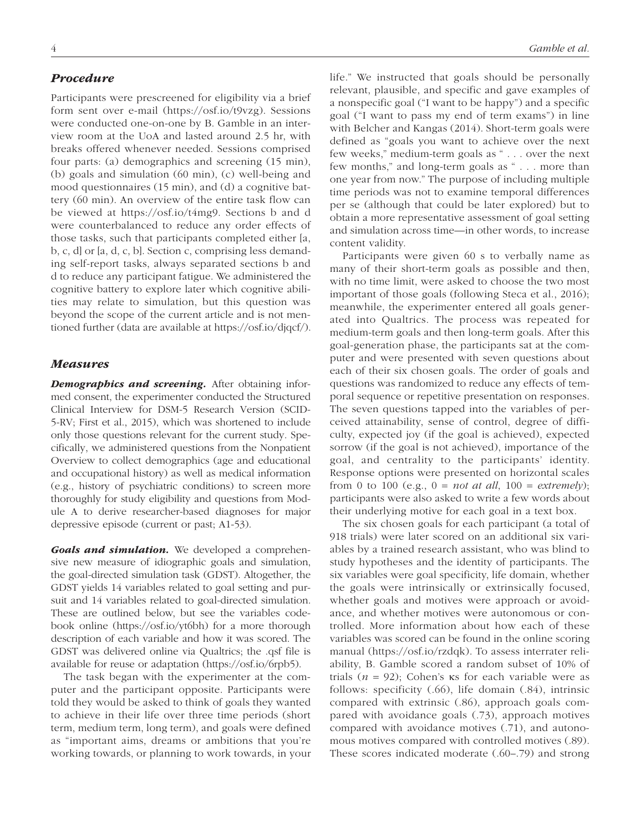# *Procedure*

Participants were prescreened for eligibility via a brief form sent over e-mail [\(https://osf.io/t9vzg\)](https://osf.io/t9vzg). Sessions were conducted one-on-one by B. Gamble in an interview room at the UoA and lasted around 2.5 hr, with breaks offered whenever needed. Sessions comprised four parts: (a) demographics and screening (15 min), (b) goals and simulation (60 min), (c) well-being and mood questionnaires (15 min), and (d) a cognitive battery (60 min). An overview of the entire task flow can be viewed at <https://osf.io/t4mg9>. Sections b and d were counterbalanced to reduce any order effects of those tasks, such that participants completed either [a, b, c, d] or [a, d, c, b]. Section c, comprising less demanding self-report tasks, always separated sections b and d to reduce any participant fatigue. We administered the cognitive battery to explore later which cognitive abilities may relate to simulation, but this question was beyond the scope of the current article and is not mentioned further (data are available at<https://osf.io/djqcf/>).

### *Measures*

*Demographics and screening.* After obtaining informed consent, the experimenter conducted the Structured Clinical Interview for DSM-5 Research Version (SCID-5-RV; First et al., 2015), which was shortened to include only those questions relevant for the current study. Specifically, we administered questions from the Nonpatient Overview to collect demographics (age and educational and occupational history) as well as medical information (e.g., history of psychiatric conditions) to screen more thoroughly for study eligibility and questions from Module A to derive researcher-based diagnoses for major depressive episode (current or past; A1-53).

*Goals and simulation.* We developed a comprehensive new measure of idiographic goals and simulation, the goal-directed simulation task (GDST). Altogether, the GDST yields 14 variables related to goal setting and pursuit and 14 variables related to goal-directed simulation. These are outlined below, but see the variables codebook online ([https://osf.io/yt6bh\)](https://osf.io/yt6bh) for a more thorough description of each variable and how it was scored. The GDST was delivered online via Qualtrics; the .qsf file is available for reuse or adaptation [\(https://osf.io/6rpb5\)](https://osf.io/6rpb5).

The task began with the experimenter at the computer and the participant opposite. Participants were told they would be asked to think of goals they wanted to achieve in their life over three time periods (short term, medium term, long term), and goals were defined as "important aims, dreams or ambitions that you're working towards, or planning to work towards, in your life." We instructed that goals should be personally relevant, plausible, and specific and gave examples of a nonspecific goal ("I want to be happy") and a specific goal ("I want to pass my end of term exams") in line with Belcher and Kangas (2014). Short-term goals were defined as "goals you want to achieve over the next few weeks," medium-term goals as " . . . over the next few months," and long-term goals as " . . . more than one year from now." The purpose of including multiple time periods was not to examine temporal differences per se (although that could be later explored) but to obtain a more representative assessment of goal setting and simulation across time—in other words, to increase content validity.

Participants were given 60 s to verbally name as many of their short-term goals as possible and then, with no time limit, were asked to choose the two most important of those goals (following Steca et al., 2016); meanwhile, the experimenter entered all goals generated into Qualtrics. The process was repeated for medium-term goals and then long-term goals. After this goal-generation phase, the participants sat at the computer and were presented with seven questions about each of their six chosen goals. The order of goals and questions was randomized to reduce any effects of temporal sequence or repetitive presentation on responses. The seven questions tapped into the variables of perceived attainability, sense of control, degree of difficulty, expected joy (if the goal is achieved), expected sorrow (if the goal is not achieved), importance of the goal, and centrality to the participants' identity. Response options were presented on horizontal scales from 0 to 100 (e.g.,  $0 = not$  *at all*,  $100 = extremely$ ); participants were also asked to write a few words about their underlying motive for each goal in a text box.

The six chosen goals for each participant (a total of 918 trials) were later scored on an additional six variables by a trained research assistant, who was blind to study hypotheses and the identity of participants. The six variables were goal specificity, life domain, whether the goals were intrinsically or extrinsically focused, whether goals and motives were approach or avoidance, and whether motives were autonomous or controlled. More information about how each of these variables was scored can be found in the online scoring manual (<https://osf.io/rzdqk>). To assess interrater reliability, B. Gamble scored a random subset of 10% of trials ( $n = 92$ ); Cohen's **ks** for each variable were as follows: specificity (.66), life domain (.84), intrinsic compared with extrinsic (.86), approach goals compared with avoidance goals (.73), approach motives compared with avoidance motives (.71), and autonomous motives compared with controlled motives (.89). These scores indicated moderate (.60–.79) and strong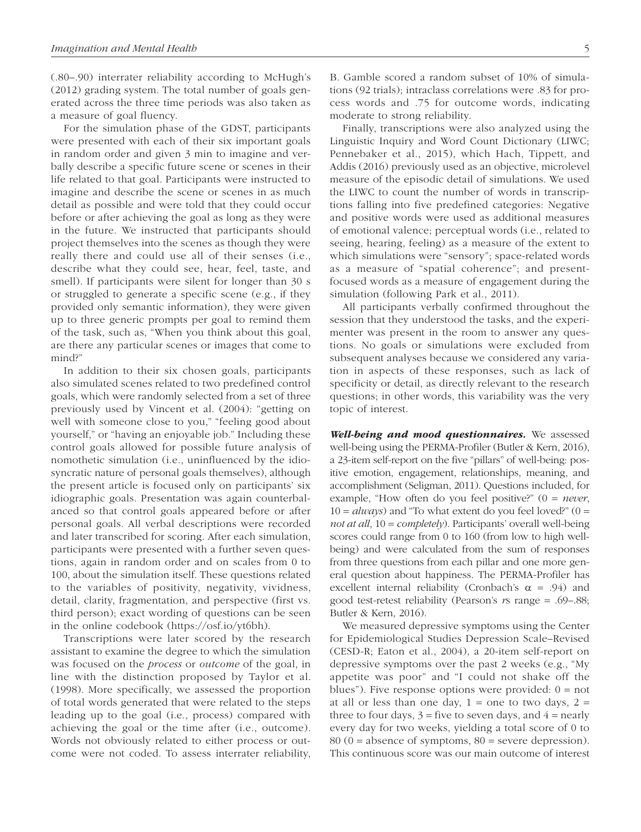(.80–.90) interrater reliability according to McHugh's (2012) grading system. The total number of goals generated across the three time periods was also taken as a measure of goal fluency.

For the simulation phase of the GDST, participants were presented with each of their six important goals in random order and given 3 min to imagine and verbally describe a specific future scene or scenes in their life related to that goal. Participants were instructed to imagine and describe the scene or scenes in as much detail as possible and were told that they could occur before or after achieving the goal as long as they were in the future. We instructed that participants should project themselves into the scenes as though they were really there and could use all of their senses (i.e., describe what they could see, hear, feel, taste, and smell). If participants were silent for longer than 30 s or struggled to generate a specific scene (e.g., if they provided only semantic information), they were given up to three generic prompts per goal to remind them of the task, such as, "When you think about this goal, are there any particular scenes or images that come to mind?"

In addition to their six chosen goals, participants also simulated scenes related to two predefined control goals, which were randomly selected from a set of three previously used by Vincent et al. (2004): "getting on well with someone close to you," "feeling good about yourself," or "having an enjoyable job." Including these control goals allowed for possible future analysis of nomothetic simulation (i.e., uninfluenced by the idiosyncratic nature of personal goals themselves), although the present article is focused only on participants' six idiographic goals. Presentation was again counterbalanced so that control goals appeared before or after personal goals. All verbal descriptions were recorded and later transcribed for scoring. After each simulation, participants were presented with a further seven questions, again in random order and on scales from 0 to 100, about the simulation itself. These questions related to the variables of positivity, negativity, vividness, detail, clarity, fragmentation, and perspective (first vs. third person); exact wording of questions can be seen in the online codebook [\(https://osf.io/yt6bh\)](https://osf.io/yt6bh).

Transcriptions were later scored by the research assistant to examine the degree to which the simulation was focused on the *process* or *outcome* of the goal, in line with the distinction proposed by Taylor et al. (1998). More specifically, we assessed the proportion of total words generated that were related to the steps leading up to the goal (i.e., process) compared with achieving the goal or the time after (i.e., outcome). Words not obviously related to either process or outcome were not coded. To assess interrater reliability, B. Gamble scored a random subset of 10% of simulations (92 trials); intraclass correlations were .83 for process words and .75 for outcome words, indicating moderate to strong reliability.

Finally, transcriptions were also analyzed using the Linguistic Inquiry and Word Count Dictionary (LIWC; Pennebaker et al., 2015), which Hach, Tippett, and Addis (2016) previously used as an objective, microlevel measure of the episodic detail of simulations. We used the LIWC to count the number of words in transcriptions falling into five predefined categories: Negative and positive words were used as additional measures of emotional valence; perceptual words (i.e., related to seeing, hearing, feeling) as a measure of the extent to which simulations were "sensory"; space-related words as a measure of "spatial coherence"; and presentfocused words as a measure of engagement during the simulation (following Park et al., 2011).

All participants verbally confirmed throughout the session that they understood the tasks, and the experimenter was present in the room to answer any questions. No goals or simulations were excluded from subsequent analyses because we considered any variation in aspects of these responses, such as lack of specificity or detail, as directly relevant to the research questions; in other words, this variability was the very topic of interest.

*Well-being and mood questionnaires.* We assessed well-being using the PERMA-Profiler (Butler & Kern, 2016), a 23-item self-report on the five "pillars" of well-being: positive emotion, engagement, relationships, meaning, and accomplishment (Seligman, 2011). Questions included, for example, "How often do you feel positive?" (0 = *never*,  $10 = always$ ) and "To what extent do you feel loved?" ( $0 =$ *not at all*, 10 = *completely*). Participants' overall well-being scores could range from 0 to 160 (from low to high wellbeing) and were calculated from the sum of responses from three questions from each pillar and one more general question about happiness. The PERMA-Profiler has excellent internal reliability (Cronbach's  $\alpha$  = .94) and good test-retest reliability (Pearson's *r*s range = .69–.88; Butler & Kern, 2016).

We measured depressive symptoms using the Center for Epidemiological Studies Depression Scale–Revised (CESD-R; Eaton et al., 2004), a 20-item self-report on depressive symptoms over the past 2 weeks (e.g., "My appetite was poor" and "I could not shake off the blues"). Five response options were provided:  $0 = not$ at all or less than one day,  $1 =$  one to two days,  $2 =$ three to four days,  $3 =$  five to seven days, and  $4 =$  nearly every day for two weeks, yielding a total score of 0 to  $80 (0 = \text{absence of symptoms}, 80 = \text{severe depression}).$ This continuous score was our main outcome of interest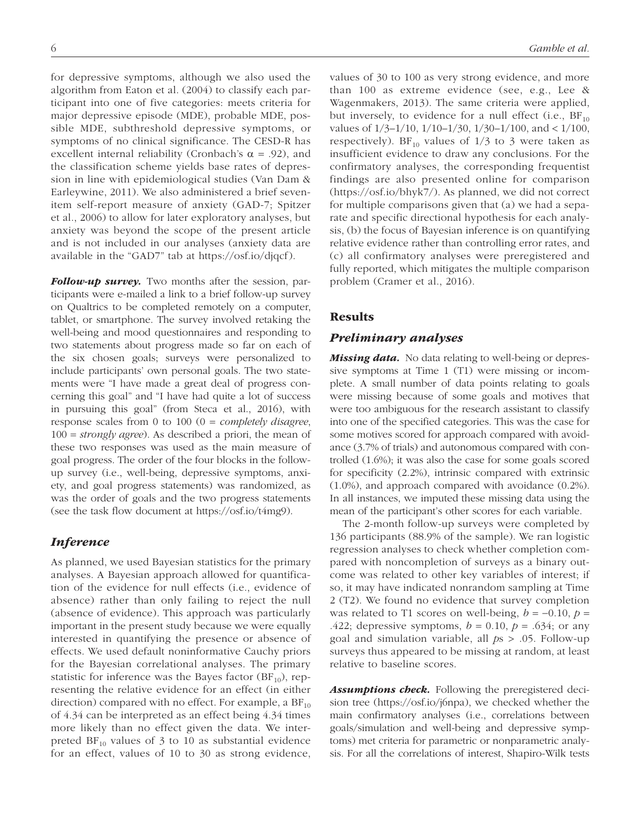for depressive symptoms, although we also used the algorithm from Eaton et al. (2004) to classify each participant into one of five categories: meets criteria for major depressive episode (MDE), probable MDE, possible MDE, subthreshold depressive symptoms, or symptoms of no clinical significance. The CESD-R has excellent internal reliability (Cronbach's  $\alpha$  = .92), and the classification scheme yields base rates of depression in line with epidemiological studies (Van Dam & Earleywine, 2011). We also administered a brief sevenitem self-report measure of anxiety (GAD-7; Spitzer et al., 2006) to allow for later exploratory analyses, but anxiety was beyond the scope of the present article and is not included in our analyses (anxiety data are available in the "GAD7" tab at [https://osf.io/djqcf\)](https://osf.io/djqcf).

*Follow-up survey.* Two months after the session, participants were e-mailed a link to a brief follow-up survey on Qualtrics to be completed remotely on a computer, tablet, or smartphone. The survey involved retaking the well-being and mood questionnaires and responding to two statements about progress made so far on each of the six chosen goals; surveys were personalized to include participants' own personal goals. The two statements were "I have made a great deal of progress concerning this goal" and "I have had quite a lot of success in pursuing this goal" (from Steca et al., 2016), with response scales from 0 to 100 (0 = *completely disagree*, 100 = *strongly agree*). As described a priori, the mean of these two responses was used as the main measure of goal progress. The order of the four blocks in the followup survey (i.e., well-being, depressive symptoms, anxiety, and goal progress statements) was randomized, as was the order of goals and the two progress statements (see the task flow document at [https://osf.io/t4mg9\)](https://osf.io/t4mg9).

### *Inference*

As planned, we used Bayesian statistics for the primary analyses. A Bayesian approach allowed for quantification of the evidence for null effects (i.e., evidence of absence) rather than only failing to reject the null (absence of evidence). This approach was particularly important in the present study because we were equally interested in quantifying the presence or absence of effects. We used default noninformative Cauchy priors for the Bayesian correlational analyses. The primary statistic for inference was the Bayes factor  $(BF_{10})$ , representing the relative evidence for an effect (in either direction) compared with no effect. For example, a  $BF_{10}$ of 4.34 can be interpreted as an effect being 4.34 times more likely than no effect given the data. We interpreted  $BF_{10}$  values of 3 to 10 as substantial evidence for an effect, values of 10 to 30 as strong evidence,

values of 30 to 100 as very strong evidence, and more than 100 as extreme evidence (see, e.g., Lee & Wagenmakers, 2013). The same criteria were applied, but inversely, to evidence for a null effect (i.e.,  $BF_{10}$ ) values of 1/3–1/10, 1/10–1/30, 1/30–1/100, and < 1/100, respectively). BF<sub>10</sub> values of  $1/3$  to 3 were taken as insufficient evidence to draw any conclusions. For the confirmatory analyses, the corresponding frequentist findings are also presented online for comparison [\(https://osf.io/bhyk7/](https://osf.io/bhyk7/)). As planned, we did not correct for multiple comparisons given that (a) we had a separate and specific directional hypothesis for each analysis, (b) the focus of Bayesian inference is on quantifying relative evidence rather than controlling error rates, and (c) all confirmatory analyses were preregistered and fully reported, which mitigates the multiple comparison problem (Cramer et al., 2016).

# Results

#### *Preliminary analyses*

*Missing data.* No data relating to well-being or depressive symptoms at Time 1 (T1) were missing or incomplete. A small number of data points relating to goals were missing because of some goals and motives that were too ambiguous for the research assistant to classify into one of the specified categories. This was the case for some motives scored for approach compared with avoidance (3.7% of trials) and autonomous compared with controlled (1.6%); it was also the case for some goals scored for specificity (2.2%), intrinsic compared with extrinsic (1.0%), and approach compared with avoidance (0.2%). In all instances, we imputed these missing data using the mean of the participant's other scores for each variable.

The 2-month follow-up surveys were completed by 136 participants (88.9% of the sample). We ran logistic regression analyses to check whether completion compared with noncompletion of surveys as a binary outcome was related to other key variables of interest; if so, it may have indicated nonrandom sampling at Time 2 (T2). We found no evidence that survey completion was related to T1 scores on well-being,  $b = -0.10$ ,  $p =$ .422; depressive symptoms,  $b = 0.10$ ,  $p = .634$ ; or any goal and simulation variable, all *p*s > .05. Follow-up surveys thus appeared to be missing at random, at least relative to baseline scores.

*Assumptions check.* Following the preregistered decision tree [\(https://osf.io/j6npa\)](https://osf.io/j6npa), we checked whether the main confirmatory analyses (i.e., correlations between goals/simulation and well-being and depressive symptoms) met criteria for parametric or nonparametric analysis. For all the correlations of interest, Shapiro-Wilk tests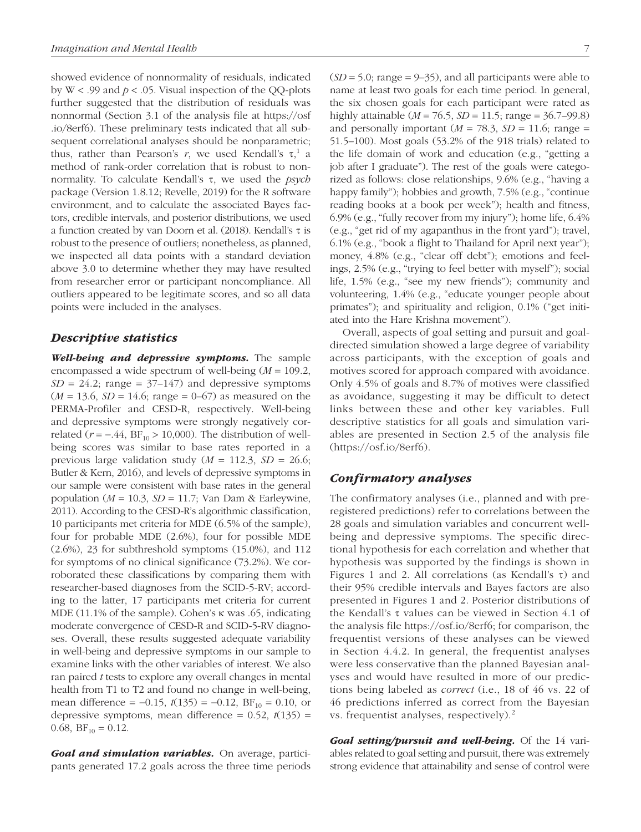showed evidence of nonnormality of residuals, indicated by  $W < .99$  and  $p < .05$ . Visual inspection of the QQ-plots further suggested that the distribution of residuals was nonnormal (Section 3.1 of the analysis file at [https://osf](https://osf.io/8erf6) [.io/8erf6](https://osf.io/8erf6)). These preliminary tests indicated that all subsequent correlational analyses should be nonparametric; thus, rather than Pearson's *r*, we used Kendall's  $τ$ , a method of rank-order correlation that is robust to nonnormality. To calculate Kendall's τ, we used the *psych* package (Version 1.8.12; Revelle, 2019) for the R software environment, and to calculate the associated Bayes factors, credible intervals, and posterior distributions, we used a function created by van Doorn et al. (2018). Kendall's τ is robust to the presence of outliers; nonetheless, as planned, we inspected all data points with a standard deviation above 3.0 to determine whether they may have resulted from researcher error or participant noncompliance. All outliers appeared to be legitimate scores, and so all data points were included in the analyses.

### *Descriptive statistics*

*Well-being and depressive symptoms.* The sample encompassed a wide spectrum of well-being (*M* = 109.2,  $SD = 24.2$ ; range =  $37-147$ ) and depressive symptoms  $(M = 13.6, SD = 14.6; range = 0-67)$  as measured on the PERMA-Profiler and CESD-R, respectively. Well-being and depressive symptoms were strongly negatively correlated ( $r = -.44$ , BF<sub>10</sub> > 10,000). The distribution of wellbeing scores was similar to base rates reported in a previous large validation study  $(M = 112.3, SD = 26.6;$ Butler & Kern, 2016), and levels of depressive symptoms in our sample were consistent with base rates in the general population ( $M = 10.3$ ,  $SD = 11.7$ ; Van Dam & Earleywine, 2011). According to the CESD-R's algorithmic classification, 10 participants met criteria for MDE (6.5% of the sample), four for probable MDE (2.6%), four for possible MDE (2.6%), 23 for subthreshold symptoms (15.0%), and 112 for symptoms of no clinical significance (73.2%). We corroborated these classifications by comparing them with researcher-based diagnoses from the SCID-5-RV; according to the latter, 17 participants met criteria for current MDE (11.1% of the sample). Cohen's κ was .65, indicating moderate convergence of CESD-R and SCID-5-RV diagnoses. Overall, these results suggested adequate variability in well-being and depressive symptoms in our sample to examine links with the other variables of interest. We also ran paired *t* tests to explore any overall changes in mental health from T1 to T2 and found no change in well-being, mean difference =  $-0.15$ ,  $t(135) = -0.12$ , BF<sub>10</sub> = 0.10, or depressive symptoms, mean difference =  $0.52$ ,  $t(135)$  = 0.68,  $BF_{10} = 0.12$ .

*Goal and simulation variables.* On average, participants generated 17.2 goals across the three time periods  $(SD = 5.0; \text{ range} = 9-35)$ , and all participants were able to name at least two goals for each time period. In general, the six chosen goals for each participant were rated as highly attainable (*M* = 76.5, *SD* = 11.5; range = 36.7–99.8) and personally important  $(M = 78.3, SD = 11.6; range =$ 51.5–100). Most goals (53.2% of the 918 trials) related to the life domain of work and education (e.g., "getting a job after I graduate"). The rest of the goals were categorized as follows: close relationships, 9.6% (e.g., "having a happy family"); hobbies and growth, 7.5% (e.g., "continue reading books at a book per week"); health and fitness, 6.9% (e.g., "fully recover from my injury"); home life, 6.4% (e.g., "get rid of my agapanthus in the front yard"); travel, 6.1% (e.g., "book a flight to Thailand for April next year"); money, 4.8% (e.g., "clear off debt"); emotions and feelings, 2.5% (e.g., "trying to feel better with myself"); social life, 1.5% (e.g., "see my new friends"); community and volunteering, 1.4% (e.g., "educate younger people about primates"); and spirituality and religion, 0.1% ("get initiated into the Hare Krishna movement").

Overall, aspects of goal setting and pursuit and goaldirected simulation showed a large degree of variability across participants, with the exception of goals and motives scored for approach compared with avoidance. Only 4.5% of goals and 8.7% of motives were classified as avoidance, suggesting it may be difficult to detect links between these and other key variables. Full descriptive statistics for all goals and simulation variables are presented in Section 2.5 of the analysis file [\(https://osf.io/8erf6](https://osf.io/8erf6)).

### *Confirmatory analyses*

The confirmatory analyses (i.e., planned and with preregistered predictions) refer to correlations between the 28 goals and simulation variables and concurrent wellbeing and depressive symptoms. The specific directional hypothesis for each correlation and whether that hypothesis was supported by the findings is shown in Figures 1 and 2. All correlations (as Kendall's τ) and their 95% credible intervals and Bayes factors are also presented in Figures 1 and 2. Posterior distributions of the Kendall's τ values can be viewed in Section 4.1 of the analysis file [https://osf.io/8erf6;](https://osf.io/8erf6) for comparison, the frequentist versions of these analyses can be viewed in Section 4.4.2. In general, the frequentist analyses were less conservative than the planned Bayesian analyses and would have resulted in more of our predictions being labeled as *correct* (i.e., 18 of 46 vs. 22 of 46 predictions inferred as correct from the Bayesian vs. frequentist analyses, respectively).<sup>2</sup>

*Goal setting/pursuit and well-being.* Of the 14 variables related to goal setting and pursuit, there was extremely strong evidence that attainability and sense of control were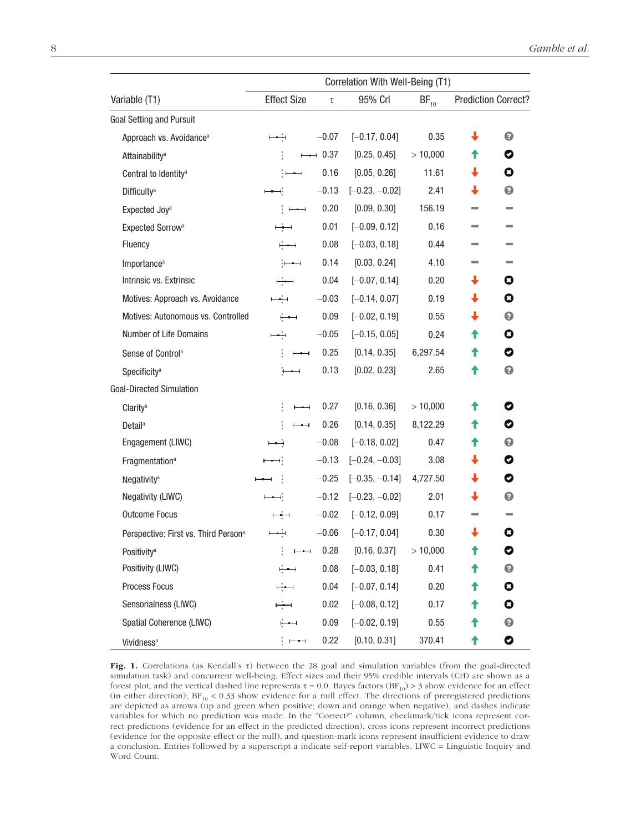|                                                  | Correlation With Well-Being (T1) |          |                  |           |                            |           |  |
|--------------------------------------------------|----------------------------------|----------|------------------|-----------|----------------------------|-----------|--|
| Variable (T1)                                    | <b>Effect Size</b>               | $\tau$   | 95% Crl          | $BF_{10}$ | <b>Prediction Correct?</b> |           |  |
| <b>Goal Setting and Pursuit</b>                  |                                  |          |                  |           |                            |           |  |
| Approach vs. Avoidance <sup>a</sup>              | بندح                             | $-0.07$  | $[-0.17, 0.04]$  | 0.35      | ↓                          | €         |  |
| Attainability <sup>a</sup>                       |                                  | $-$ 0.37 | [0.25, 0.45]     | >10,000   | Ŧ                          | 0         |  |
| Central to Identity <sup>a</sup>                 |                                  | 0.16     | [0.05, 0.26]     | 11.61     | ↓                          | O         |  |
| <b>Difficulty<sup>a</sup></b>                    |                                  | $-0.13$  | $[-0.23, -0.02]$ | 2.41      | J                          | €         |  |
| Expected Joy <sup>a</sup>                        | $\overline{\phantom{a}}$         | 0.20     | [0.09, 0.30]     | 156.19    |                            |           |  |
| Expected Sorrow <sup>a</sup>                     |                                  | 0.01     | $[-0.09, 0.12]$  | 0.16      |                            |           |  |
| Fluency                                          | ∸                                | 0.08     | $[-0.03, 0.18]$  | 0.44      |                            |           |  |
| Importance <sup>a</sup>                          | ;——                              | 0.14     | [0.03, 0.24]     | 4.10      |                            |           |  |
| Intrinsic vs. Extrinsic                          |                                  | 0.04     | $[-0.07, 0.14]$  | 0.20      | ↓                          | O         |  |
| Motives: Approach vs. Avoidance                  | كبدا                             | $-0.03$  | $[-0.14, 0.07]$  | 0.19      | ↓                          | O         |  |
| Motives: Autonomous vs. Controlled               | ∸                                | 0.09     | $[-0.02, 0.19]$  | 0.55      | ↓                          | €         |  |
| Number of Life Domains                           |                                  | $-0.05$  | $[-0.15, 0.05]$  | 0.24      | ↑                          | 0         |  |
| Sense of Control <sup>a</sup>                    |                                  | 0.25     | [0.14, 0.35]     | 6,297.54  | T                          | 0         |  |
| Specificity <sup>a</sup>                         |                                  | 0.13     | [0.02, 0.23]     | 2.65      | Ŧ                          | €         |  |
| <b>Goal-Directed Simulation</b>                  |                                  |          |                  |           |                            |           |  |
| Clarity <sup>a</sup>                             | $\overline{\phantom{0}}$         | 0.27     | [0.16, 0.36]     | >10,000   | Ŧ                          | O         |  |
| Detail <sup>a</sup>                              | $\overline{\phantom{a}}$         | 0.26     | [0.14, 0.35]     | 8,122.29  | Ŧ                          | 0         |  |
| Engagement (LIWC)                                | نص                               | $-0.08$  | $[-0.18, 0.02]$  | 0.47      | ↑                          | $\bullet$ |  |
| Fragmentation <sup>a</sup>                       | $\rightarrow$                    | $-0.13$  | $[-0.24, -0.03]$ | 3.08      | ↓                          | 0         |  |
| Negativity <sup>a</sup>                          |                                  | $-0.25$  | $[-0.35, -0.14]$ | 4,727.50  | ↓                          | 0         |  |
| Negativity (LIWC)                                |                                  | $-0.12$  | $[-0.23, -0.02]$ | 2.01      | ↓                          | ℯ         |  |
| <b>Outcome Focus</b>                             |                                  | $-0.02$  | $[-0.12, 0.09]$  | 0.17      |                            |           |  |
| Perspective: First vs. Third Person <sup>a</sup> |                                  | $-0.06$  | $[-0.17, 0.04]$  | 0.30      |                            | Ø         |  |
| Positivity <sup>a</sup>                          | $-\mathord{\dashrightarrow}$     | 0.28     | [0.16, 0.37]     | >10,000   |                            | V         |  |
| Positivity (LIWC)                                |                                  | 0.08     | $[-0.03, 0.18]$  | 0.41      |                            | €         |  |
| Process Focus                                    |                                  | 0.04     | $[-0.07, 0.14]$  | 0.20      | T                          | O         |  |
| Sensorialness (LIWC)                             |                                  | 0.02     | $[-0.08, 0.12]$  | 0.17      | T                          | O         |  |
| Spatial Coherence (LIWC)                         | ⊢                                | 0.09     | $[-0.02, 0.19]$  | 0.55      | T                          | €         |  |
| Vividness <sup>a</sup>                           | $\overline{\phantom{0}}$         | 0.22     | [0.10, 0.31]     | 370.41    | ↑                          | 0         |  |

Fig. 1. Correlations (as Kendall's τ) between the 28 goal and simulation variables (from the goal-directed simulation task) and concurrent well-being. Effect sizes and their 95% credible intervals (CrI) are shown as a forest plot, and the vertical dashed line represents τ = 0.0. Bayes factors (BF<sub>10</sub>) > 3 show evidence for an effect (in either direction);  $BF_{10} < 0.33$  show evidence for a null effect. The directions of preregistered predictions are depicted as arrows (up and green when positive; down and orange when negative), and dashes indicate variables for which no prediction was made. In the "Correct?" column, checkmark/tick icons represent correct predictions (evidence for an effect in the predicted direction), cross icons represent incorrect predictions (evidence for the opposite effect or the null), and question-mark icons represent insufficient evidence to draw a conclusion. Entries followed by a superscript a indicate self-report variables. LIWC = Linguistic Inquiry and Word Count.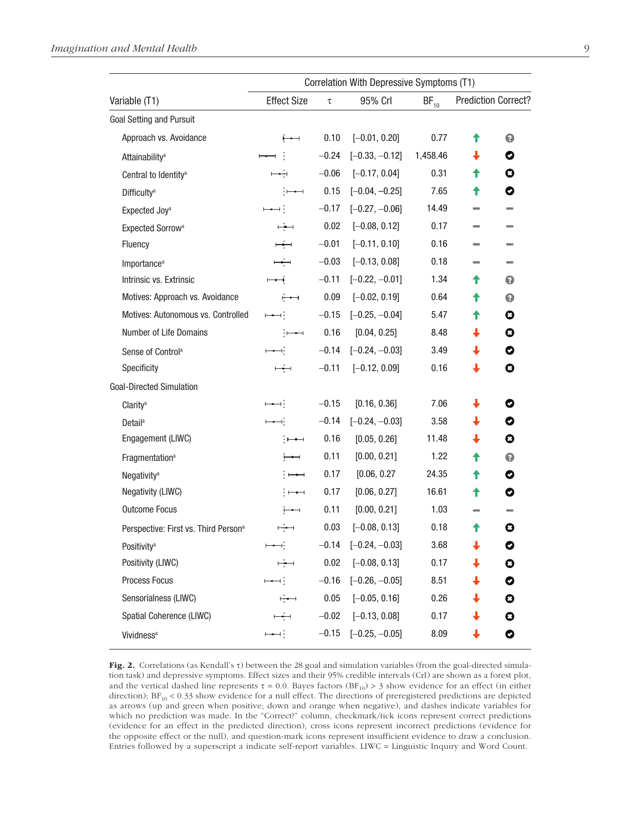|                                                  | Correlation With Depressive Symptoms (T1) |              |                  |           |                             |                          |  |
|--------------------------------------------------|-------------------------------------------|--------------|------------------|-----------|-----------------------------|--------------------------|--|
| Variable (T1)                                    | <b>Effect Size</b>                        | 95% Crl<br>τ |                  | $BF_{10}$ | <b>Prediction Correct?</b>  |                          |  |
| <b>Goal Setting and Pursuit</b>                  |                                           |              |                  |           |                             |                          |  |
| Approach vs. Avoidance                           | $\overline{\phantom{0}}$                  | 0.10         | $[-0.01, 0.20]$  | 0.77      | Ŧ                           | €                        |  |
| Attainability <sup>a</sup>                       |                                           | $-0.24$      | $[-0.33, -0.12]$ | 1,458.46  | ↓                           | 0                        |  |
| Central to Identity <sup>a</sup>                 |                                           | $-0.06$      | $[-0.17, 0.04]$  | 0.31      | ↑                           | O                        |  |
| <b>Difficulty<sup>a</sup></b>                    | $\frac{1}{2}$                             | 0.15         | $[-0.04, -0.25]$ | 7.65      | ↑                           | O                        |  |
| Expected Joy <sup>a</sup>                        |                                           | $-0.17$      | $[-0.27, -0.06]$ | 14.49     |                             |                          |  |
| Expected Sorrow <sup>a</sup>                     | بذر                                       | 0.02         | $[-0.08, 0.12]$  | 0.17      |                             |                          |  |
| Fluency                                          | صغص                                       | $-0.01$      | $[-0.11, 0.10]$  | 0.16      |                             |                          |  |
| Importance <sup>a</sup>                          | كبد                                       | $-0.03$      | $[-0.13, 0.08]$  | 0.18      | ▄                           | $\overline{\phantom{0}}$ |  |
| Intrinsic vs. Extrinsic                          |                                           | $-0.11$      | $[-0.22, -0.01]$ | 1.34      | Ŧ                           | €                        |  |
| Motives: Approach vs. Avoidance                  | $\overline{\phantom{0}}$                  | 0.09         | $[-0.02, 0.19]$  | 0.64      | ↑                           | €                        |  |
| Motives: Autonomous vs. Controlled               | ⊢                                         | $-0.15$      | $[-0.25, -0.04]$ | 5.47      | ↑                           | O                        |  |
| Number of Life Domains                           | $\overline{\phantom{a}}$                  | 0.16         | [0.04, 0.25]     | 8.48      | $\color{red} \blacklozenge$ | O                        |  |
| Sense of Control <sup>a</sup>                    |                                           | $-0.14$      | $[-0.24, -0.03]$ | 3.49      | ↓                           | O                        |  |
| Specificity                                      | بغص                                       | $-0.11$      | $[-0.12, 0.09]$  | 0.16      | ↓                           | 0                        |  |
| <b>Goal-Directed Simulation</b>                  |                                           |              |                  |           |                             |                          |  |
| Clarity <sup>a</sup>                             | ⊢⊷⊣∮                                      | $-0.15$      | [0.16, 0.36]     | 7.06      | ↓                           | 0                        |  |
| <b>Detail</b> <sup>a</sup>                       | $\longmapsto$                             | $-0.14$      | $[-0.24, -0.03]$ | 3.58      | $\color{red} \blacklozenge$ | 0                        |  |
| Engagement (LIWC)                                | ┆┝══┽                                     | 0.16         | [0.05, 0.26]     | 11.48     | ↓                           | O                        |  |
| Fragmentation <sup>a</sup>                       |                                           | 0.11         | [0.00, 0.21]     | 1.22      | ↟                           | €                        |  |
| Negativity <sup>a</sup>                          | $\overline{\phantom{a}}$                  | 0.17         | [0.06, 0.27]     | 24.35     | ↑                           | O                        |  |
| Negativity (LIWC)                                | ┆┝═══┽                                    | 0.17         | [0.06, 0.27]     | 16.61     | ↑                           | 0                        |  |
| <b>Outcome Focus</b>                             | $\overline{\phantom{a}}$                  | 0.11         | [0.00, 0.21]     | 1.03      | $\sim$                      |                          |  |
| Perspective: First vs. Third Person <sup>a</sup> | ÷                                         | 0.03         | $[-0.08, 0.13]$  | 0.18      | ₳                           | 0                        |  |
| Positivity <sup>a</sup>                          | نصصر                                      | $-0.14$      | $[-0.24, -0.03]$ | 3.68      | $\ddot{\phantom{0}}$        | 0                        |  |
| Positivity (LIWC)                                | بغضب                                      | 0.02         | $[-0.08, 0.13]$  | 0.17      | ↓                           | O                        |  |
| Process Focus                                    |                                           | $-0.16$      | $[-0.26, -0.05]$ | 8.51      | ↓                           | 0                        |  |
| Sensorialness (LIWC)                             | ⊢—                                        | 0.05         | $[-0.05, 0.16]$  | 0.26      |                             | O                        |  |
| Spatial Coherence (LIWC)                         | ∸                                         | $-0.02$      | $[-0.13, 0.08]$  | 0.17      | ┹                           | 0                        |  |
| Vividness <sup>a</sup>                           | $\longmapsto$                             | $-0.15$      | $[-0.25, -0.05]$ | 8.09      | ↓                           | 0                        |  |

Fig. 2. Correlations (as Kendall's  $\tau$ ) between the 28 goal and simulation variables (from the goal-directed simulation task) and depressive symptoms. Effect sizes and their 95% credible intervals (CrI) are shown as a forest plot, and the vertical dashed line represents  $\tau = 0.0$ . Bayes factors (BF<sub>10</sub>) > 3 show evidence for an effect (in either direction);  $BF_{10} < 0.33$  show evidence for a null effect. The directions of preregistered predictions are depicted as arrows (up and green when positive; down and orange when negative), and dashes indicate variables for which no prediction was made. In the "Correct?" column, checkmark/tick icons represent correct predictions (evidence for an effect in the predicted direction), cross icons represent incorrect predictions (evidence for the opposite effect or the null), and question-mark icons represent insufficient evidence to draw a conclusion. Entries followed by a superscript a indicate self-report variables. LIWC = Linguistic Inquiry and Word Count.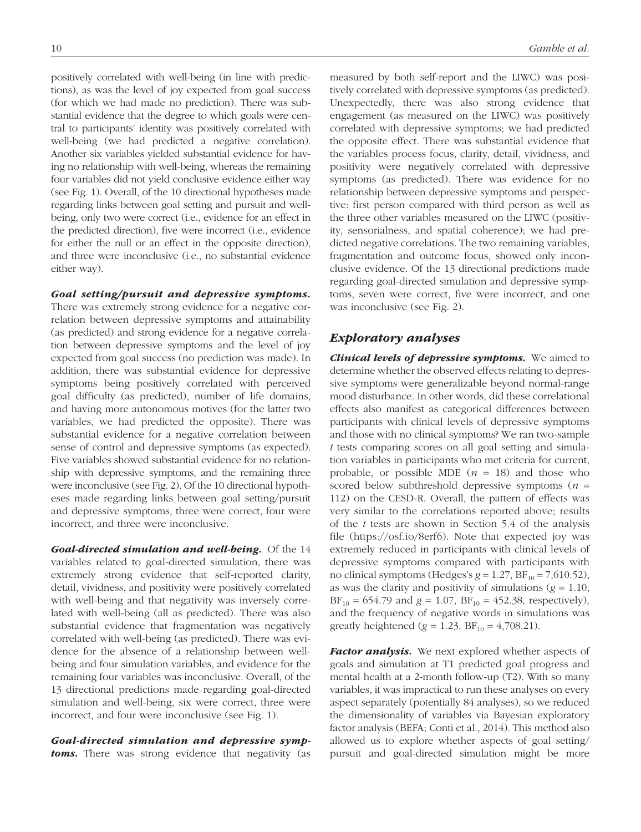positively correlated with well-being (in line with predictions), as was the level of joy expected from goal success (for which we had made no prediction). There was substantial evidence that the degree to which goals were central to participants' identity was positively correlated with well-being (we had predicted a negative correlation). Another six variables yielded substantial evidence for having no relationship with well-being, whereas the remaining four variables did not yield conclusive evidence either way (see Fig. 1). Overall, of the 10 directional hypotheses made regarding links between goal setting and pursuit and wellbeing, only two were correct (i.e., evidence for an effect in the predicted direction), five were incorrect (i.e., evidence for either the null or an effect in the opposite direction), and three were inconclusive (i.e., no substantial evidence either way).

#### *Goal setting/pursuit and depressive symptoms.*

There was extremely strong evidence for a negative correlation between depressive symptoms and attainability (as predicted) and strong evidence for a negative correlation between depressive symptoms and the level of joy expected from goal success (no prediction was made). In addition, there was substantial evidence for depressive symptoms being positively correlated with perceived goal difficulty (as predicted), number of life domains, and having more autonomous motives (for the latter two variables, we had predicted the opposite). There was substantial evidence for a negative correlation between sense of control and depressive symptoms (as expected). Five variables showed substantial evidence for no relationship with depressive symptoms, and the remaining three were inconclusive (see Fig. 2). Of the 10 directional hypotheses made regarding links between goal setting/pursuit and depressive symptoms, three were correct, four were incorrect, and three were inconclusive.

*Goal-directed simulation and well-being.* Of the 14 variables related to goal-directed simulation, there was extremely strong evidence that self-reported clarity, detail, vividness, and positivity were positively correlated with well-being and that negativity was inversely correlated with well-being (all as predicted). There was also substantial evidence that fragmentation was negatively correlated with well-being (as predicted). There was evidence for the absence of a relationship between wellbeing and four simulation variables, and evidence for the remaining four variables was inconclusive. Overall, of the 13 directional predictions made regarding goal-directed simulation and well-being, six were correct, three were incorrect, and four were inconclusive (see Fig. 1).

*Goal-directed simulation and depressive symp***toms.** There was strong evidence that negativity (as measured by both self-report and the LIWC) was positively correlated with depressive symptoms (as predicted). Unexpectedly, there was also strong evidence that engagement (as measured on the LIWC) was positively correlated with depressive symptoms; we had predicted the opposite effect. There was substantial evidence that the variables process focus, clarity, detail, vividness, and positivity were negatively correlated with depressive symptoms (as predicted). There was evidence for no relationship between depressive symptoms and perspective: first person compared with third person as well as the three other variables measured on the LIWC (positivity, sensorialness, and spatial coherence); we had predicted negative correlations. The two remaining variables, fragmentation and outcome focus, showed only inconclusive evidence. Of the 13 directional predictions made regarding goal-directed simulation and depressive symptoms, seven were correct, five were incorrect, and one was inconclusive (see Fig. 2).

# *Exploratory analyses*

*Clinical levels of depressive symptoms.* We aimed to determine whether the observed effects relating to depressive symptoms were generalizable beyond normal-range mood disturbance. In other words, did these correlational effects also manifest as categorical differences between participants with clinical levels of depressive symptoms and those with no clinical symptoms? We ran two-sample *t* tests comparing scores on all goal setting and simulation variables in participants who met criteria for current, probable, or possible MDE  $(n = 18)$  and those who scored below subthreshold depressive symptoms (*n* = 112) on the CESD-R. Overall, the pattern of effects was very similar to the correlations reported above; results of the *t* tests are shown in Section 5.4 of the analysis file (<https://osf.io/8erf6>). Note that expected joy was extremely reduced in participants with clinical levels of depressive symptoms compared with participants with no clinical symptoms (Hedges's  $g = 1.27$ ,  $BF_{10} = 7,610.52$ ), as was the clarity and positivity of simulations (*g* = 1.10,  $BF_{10} = 654.79$  and  $g = 1.07$ ,  $BF_{10} = 452.38$ , respectively), and the frequency of negative words in simulations was greatly heightened ( $g = 1.23$ ,  $BF_{10} = 4,708.21$ ).

*Factor analysis.* We next explored whether aspects of goals and simulation at T1 predicted goal progress and mental health at a 2-month follow-up (T2). With so many variables, it was impractical to run these analyses on every aspect separately (potentially 84 analyses), so we reduced the dimensionality of variables via Bayesian exploratory factor analysis (BEFA; Conti et al., 2014). This method also allowed us to explore whether aspects of goal setting/ pursuit and goal-directed simulation might be more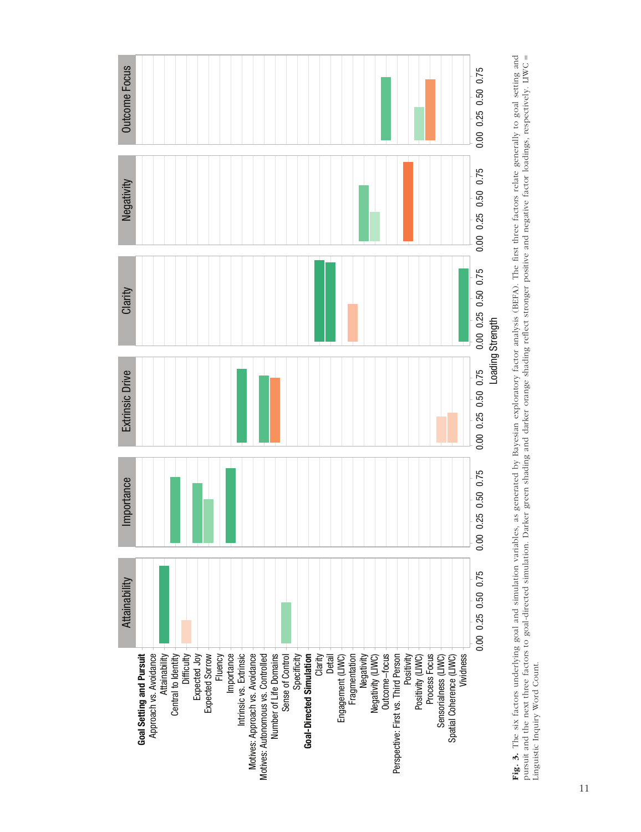

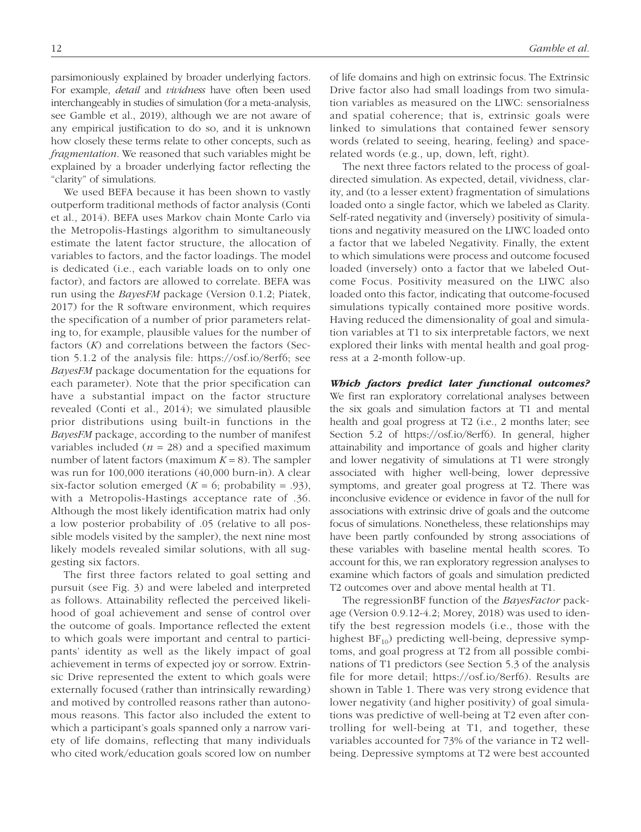parsimoniously explained by broader underlying factors. For example, *detail* and *vividness* have often been used interchangeably in studies of simulation (for a meta-analysis, see Gamble et al., 2019), although we are not aware of any empirical justification to do so, and it is unknown how closely these terms relate to other concepts, such as *fragmentation*. We reasoned that such variables might be explained by a broader underlying factor reflecting the "clarity" of simulations.

We used BEFA because it has been shown to vastly outperform traditional methods of factor analysis (Conti et al., 2014). BEFA uses Markov chain Monte Carlo via the Metropolis-Hastings algorithm to simultaneously estimate the latent factor structure, the allocation of variables to factors, and the factor loadings. The model is dedicated (i.e., each variable loads on to only one factor), and factors are allowed to correlate. BEFA was run using the *BayesFM* package (Version 0.1.2; Piatek, 2017) for the R software environment, which requires the specification of a number of prior parameters relating to, for example, plausible values for the number of factors (*K*) and correlations between the factors (Section 5.1.2 of the analysis file: [https://osf.io/8erf6;](https://osf.io/8erf6) see *BayesFM* package documentation for the equations for each parameter). Note that the prior specification can have a substantial impact on the factor structure revealed (Conti et al., 2014); we simulated plausible prior distributions using built-in functions in the *BayesFM* package, according to the number of manifest variables included  $(n = 28)$  and a specified maximum number of latent factors (maximum  $K = 8$ ). The sampler was run for 100,000 iterations (40,000 burn-in). A clear six-factor solution emerged  $(K = 6;$  probability = .93), with a Metropolis-Hastings acceptance rate of .36. Although the most likely identification matrix had only a low posterior probability of .05 (relative to all possible models visited by the sampler), the next nine most likely models revealed similar solutions, with all suggesting six factors.

The first three factors related to goal setting and pursuit (see Fig. 3) and were labeled and interpreted as follows. Attainability reflected the perceived likelihood of goal achievement and sense of control over the outcome of goals. Importance reflected the extent to which goals were important and central to participants' identity as well as the likely impact of goal achievement in terms of expected joy or sorrow. Extrinsic Drive represented the extent to which goals were externally focused (rather than intrinsically rewarding) and motived by controlled reasons rather than autonomous reasons. This factor also included the extent to which a participant's goals spanned only a narrow variety of life domains, reflecting that many individuals who cited work/education goals scored low on number of life domains and high on extrinsic focus. The Extrinsic Drive factor also had small loadings from two simulation variables as measured on the LIWC: sensorialness and spatial coherence; that is, extrinsic goals were linked to simulations that contained fewer sensory words (related to seeing, hearing, feeling) and spacerelated words (e.g., up, down, left, right).

The next three factors related to the process of goaldirected simulation. As expected, detail, vividness, clarity, and (to a lesser extent) fragmentation of simulations loaded onto a single factor, which we labeled as Clarity. Self-rated negativity and (inversely) positivity of simulations and negativity measured on the LIWC loaded onto a factor that we labeled Negativity. Finally, the extent to which simulations were process and outcome focused loaded (inversely) onto a factor that we labeled Outcome Focus. Positivity measured on the LIWC also loaded onto this factor, indicating that outcome-focused simulations typically contained more positive words. Having reduced the dimensionality of goal and simulation variables at T1 to six interpretable factors, we next explored their links with mental health and goal progress at a 2-month follow-up.

#### *Which factors predict later functional outcomes?*

We first ran exploratory correlational analyses between the six goals and simulation factors at T1 and mental health and goal progress at T2 (i.e., 2 months later; see Section 5.2 of [https://osf.io/8erf6\)](https://osf.io/8erf6). In general, higher attainability and importance of goals and higher clarity and lower negativity of simulations at T1 were strongly associated with higher well-being, lower depressive symptoms, and greater goal progress at T2. There was inconclusive evidence or evidence in favor of the null for associations with extrinsic drive of goals and the outcome focus of simulations. Nonetheless, these relationships may have been partly confounded by strong associations of these variables with baseline mental health scores. To account for this, we ran exploratory regression analyses to examine which factors of goals and simulation predicted T2 outcomes over and above mental health at T1.

The regressionBF function of the *BayesFactor* package (Version 0.9.12-4.2; Morey, 2018) was used to identify the best regression models (i.e., those with the highest  $BF_{10}$ ) predicting well-being, depressive symptoms, and goal progress at T2 from all possible combinations of T1 predictors (see Section 5.3 of the analysis file for more detail; [https://osf.io/8erf6\)](https://osf.io/8erf6). Results are shown in Table 1. There was very strong evidence that lower negativity (and higher positivity) of goal simulations was predictive of well-being at T2 even after controlling for well-being at T1, and together, these variables accounted for 73% of the variance in T2 wellbeing. Depressive symptoms at T2 were best accounted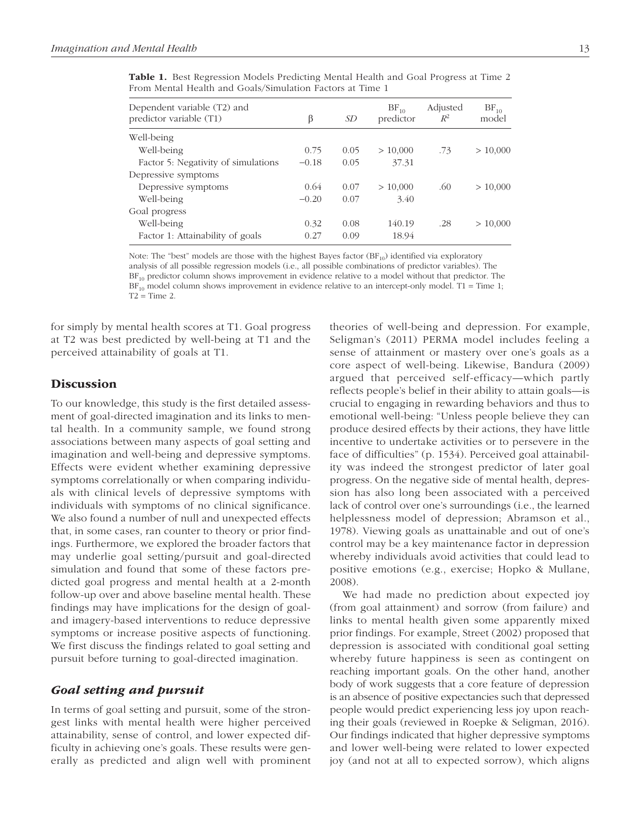| Dependent variable (T2) and<br>predictor variable (T1) | β       | <i>SD</i> | $BF_{10}$<br>predictor | Adjusted<br>$R^2$ | $BF_{10}$<br>model |
|--------------------------------------------------------|---------|-----------|------------------------|-------------------|--------------------|
| Well-being                                             |         |           |                        |                   |                    |
| Well-being                                             | 0.75    | 0.05      | > 10,000               | .73               | > 10,000           |
| Factor 5: Negativity of simulations                    | $-0.18$ | 0.05      | 37.31                  |                   |                    |
| Depressive symptoms                                    |         |           |                        |                   |                    |
| Depressive symptoms                                    | 0.64    | 0.07      | > 10,000               | .60               | > 10,000           |
| Well-being                                             | $-0.20$ | 0.07      | 3.40                   |                   |                    |
| Goal progress                                          |         |           |                        |                   |                    |
| Well-being                                             | 0.32    | 0.08      | 140.19                 | .28               | > 10,000           |
| Factor 1: Attainability of goals                       | 0.27    | 0.09      | 18.94                  |                   |                    |

Table 1. Best Regression Models Predicting Mental Health and Goal Progress at Time 2 From Mental Health and Goals/Simulation Factors at Time 1

Note: The "best" models are those with the highest Bayes factor  $(BF_{10})$  identified via exploratory analysis of all possible regression models (i.e., all possible combinations of predictor variables). The  $BF<sub>10</sub>$  predictor column shows improvement in evidence relative to a model without that predictor. The  $BF_{10}$  model column shows improvement in evidence relative to an intercept-only model. T1 = Time 1;  $T2 = Time 2$ .

for simply by mental health scores at T1. Goal progress at T2 was best predicted by well-being at T1 and the perceived attainability of goals at T1.

# **Discussion**

To our knowledge, this study is the first detailed assessment of goal-directed imagination and its links to mental health. In a community sample, we found strong associations between many aspects of goal setting and imagination and well-being and depressive symptoms. Effects were evident whether examining depressive symptoms correlationally or when comparing individuals with clinical levels of depressive symptoms with individuals with symptoms of no clinical significance. We also found a number of null and unexpected effects that, in some cases, ran counter to theory or prior findings. Furthermore, we explored the broader factors that may underlie goal setting/pursuit and goal-directed simulation and found that some of these factors predicted goal progress and mental health at a 2-month follow-up over and above baseline mental health. These findings may have implications for the design of goaland imagery-based interventions to reduce depressive symptoms or increase positive aspects of functioning. We first discuss the findings related to goal setting and pursuit before turning to goal-directed imagination.

### *Goal setting and pursuit*

In terms of goal setting and pursuit, some of the strongest links with mental health were higher perceived attainability, sense of control, and lower expected difficulty in achieving one's goals. These results were generally as predicted and align well with prominent theories of well-being and depression. For example, Seligman's (2011) PERMA model includes feeling a sense of attainment or mastery over one's goals as a core aspect of well-being. Likewise, Bandura (2009) argued that perceived self-efficacy—which partly reflects people's belief in their ability to attain goals—is crucial to engaging in rewarding behaviors and thus to emotional well-being: "Unless people believe they can produce desired effects by their actions, they have little incentive to undertake activities or to persevere in the face of difficulties" (p. 1534). Perceived goal attainability was indeed the strongest predictor of later goal progress. On the negative side of mental health, depression has also long been associated with a perceived lack of control over one's surroundings (i.e., the learned helplessness model of depression; Abramson et al., 1978). Viewing goals as unattainable and out of one's control may be a key maintenance factor in depression whereby individuals avoid activities that could lead to positive emotions (e.g., exercise; Hopko & Mullane, 2008).

We had made no prediction about expected joy (from goal attainment) and sorrow (from failure) and links to mental health given some apparently mixed prior findings. For example, Street (2002) proposed that depression is associated with conditional goal setting whereby future happiness is seen as contingent on reaching important goals. On the other hand, another body of work suggests that a core feature of depression is an absence of positive expectancies such that depressed people would predict experiencing less joy upon reaching their goals (reviewed in Roepke & Seligman, 2016). Our findings indicated that higher depressive symptoms and lower well-being were related to lower expected joy (and not at all to expected sorrow), which aligns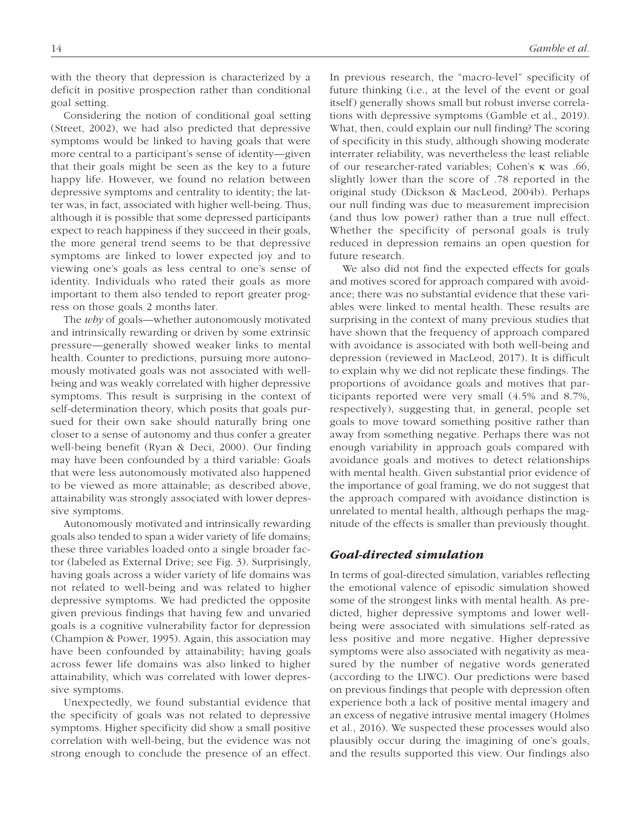with the theory that depression is characterized by a deficit in positive prospection rather than conditional goal setting.

Considering the notion of conditional goal setting (Street, 2002), we had also predicted that depressive symptoms would be linked to having goals that were more central to a participant's sense of identity—given that their goals might be seen as the key to a future happy life. However, we found no relation between depressive symptoms and centrality to identity; the latter was, in fact, associated with higher well-being. Thus, although it is possible that some depressed participants expect to reach happiness if they succeed in their goals, the more general trend seems to be that depressive symptoms are linked to lower expected joy and to viewing one's goals as less central to one's sense of identity. Individuals who rated their goals as more important to them also tended to report greater progress on those goals 2 months later.

The *why* of goals—whether autonomously motivated and intrinsically rewarding or driven by some extrinsic pressure—generally showed weaker links to mental health. Counter to predictions, pursuing more autonomously motivated goals was not associated with wellbeing and was weakly correlated with higher depressive symptoms. This result is surprising in the context of self-determination theory, which posits that goals pursued for their own sake should naturally bring one closer to a sense of autonomy and thus confer a greater well-being benefit (Ryan & Deci, 2000). Our finding may have been confounded by a third variable: Goals that were less autonomously motivated also happened to be viewed as more attainable; as described above, attainability was strongly associated with lower depressive symptoms.

Autonomously motivated and intrinsically rewarding goals also tended to span a wider variety of life domains; these three variables loaded onto a single broader factor (labeled as External Drive; see Fig. 3). Surprisingly, having goals across a wider variety of life domains was not related to well-being and was related to higher depressive symptoms. We had predicted the opposite given previous findings that having few and unvaried goals is a cognitive vulnerability factor for depression (Champion & Power, 1995). Again, this association may have been confounded by attainability; having goals across fewer life domains was also linked to higher attainability, which was correlated with lower depressive symptoms.

Unexpectedly, we found substantial evidence that the specificity of goals was not related to depressive symptoms. Higher specificity did show a small positive correlation with well-being, but the evidence was not strong enough to conclude the presence of an effect. In previous research, the "macro-level" specificity of future thinking (i.e., at the level of the event or goal itself) generally shows small but robust inverse correlations with depressive symptoms (Gamble et al., 2019). What, then, could explain our null finding? The scoring of specificity in this study, although showing moderate interrater reliability, was nevertheless the least reliable of our researcher-rated variables; Cohen's κ was .66, slightly lower than the score of .78 reported in the original study (Dickson & MacLeod, 2004b). Perhaps our null finding was due to measurement imprecision (and thus low power) rather than a true null effect. Whether the specificity of personal goals is truly reduced in depression remains an open question for future research.

We also did not find the expected effects for goals and motives scored for approach compared with avoidance; there was no substantial evidence that these variables were linked to mental health. These results are surprising in the context of many previous studies that have shown that the frequency of approach compared with avoidance is associated with both well-being and depression (reviewed in MacLeod, 2017). It is difficult to explain why we did not replicate these findings. The proportions of avoidance goals and motives that participants reported were very small (4.5% and 8.7%, respectively), suggesting that, in general, people set goals to move toward something positive rather than away from something negative. Perhaps there was not enough variability in approach goals compared with avoidance goals and motives to detect relationships with mental health. Given substantial prior evidence of the importance of goal framing, we do not suggest that the approach compared with avoidance distinction is unrelated to mental health, although perhaps the magnitude of the effects is smaller than previously thought.

# *Goal-directed simulation*

In terms of goal-directed simulation, variables reflecting the emotional valence of episodic simulation showed some of the strongest links with mental health. As predicted, higher depressive symptoms and lower wellbeing were associated with simulations self-rated as less positive and more negative. Higher depressive symptoms were also associated with negativity as measured by the number of negative words generated (according to the LIWC). Our predictions were based on previous findings that people with depression often experience both a lack of positive mental imagery and an excess of negative intrusive mental imagery (Holmes et al., 2016). We suspected these processes would also plausibly occur during the imagining of one's goals, and the results supported this view. Our findings also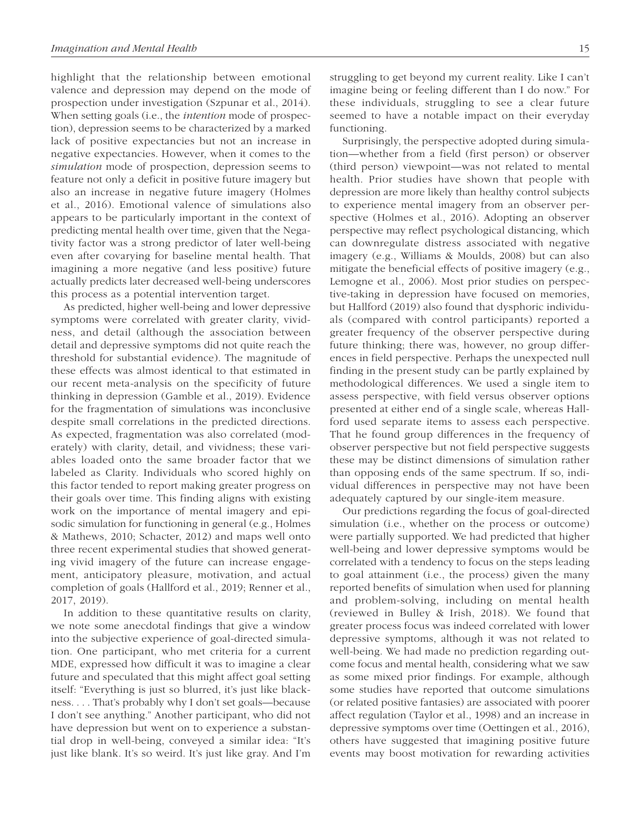highlight that the relationship between emotional valence and depression may depend on the mode of prospection under investigation (Szpunar et al., 2014). When setting goals (i.e., the *intention* mode of prospection), depression seems to be characterized by a marked lack of positive expectancies but not an increase in negative expectancies. However, when it comes to the *simulation* mode of prospection, depression seems to feature not only a deficit in positive future imagery but also an increase in negative future imagery (Holmes et al., 2016). Emotional valence of simulations also appears to be particularly important in the context of predicting mental health over time, given that the Negativity factor was a strong predictor of later well-being even after covarying for baseline mental health. That imagining a more negative (and less positive) future actually predicts later decreased well-being underscores this process as a potential intervention target.

As predicted, higher well-being and lower depressive symptoms were correlated with greater clarity, vividness, and detail (although the association between detail and depressive symptoms did not quite reach the threshold for substantial evidence). The magnitude of these effects was almost identical to that estimated in our recent meta-analysis on the specificity of future thinking in depression (Gamble et al., 2019). Evidence for the fragmentation of simulations was inconclusive despite small correlations in the predicted directions. As expected, fragmentation was also correlated (moderately) with clarity, detail, and vividness; these variables loaded onto the same broader factor that we labeled as Clarity. Individuals who scored highly on this factor tended to report making greater progress on their goals over time. This finding aligns with existing work on the importance of mental imagery and episodic simulation for functioning in general (e.g., Holmes & Mathews, 2010; Schacter, 2012) and maps well onto three recent experimental studies that showed generating vivid imagery of the future can increase engagement, anticipatory pleasure, motivation, and actual completion of goals (Hallford et al., 2019; Renner et al., 2017, 2019).

In addition to these quantitative results on clarity, we note some anecdotal findings that give a window into the subjective experience of goal-directed simulation. One participant, who met criteria for a current MDE, expressed how difficult it was to imagine a clear future and speculated that this might affect goal setting itself: "Everything is just so blurred, it's just like blackness. . . . That's probably why I don't set goals—because I don't see anything." Another participant, who did not have depression but went on to experience a substantial drop in well-being, conveyed a similar idea: "It's just like blank. It's so weird. It's just like gray. And I'm struggling to get beyond my current reality. Like I can't imagine being or feeling different than I do now." For these individuals, struggling to see a clear future seemed to have a notable impact on their everyday functioning.

Surprisingly, the perspective adopted during simulation—whether from a field (first person) or observer (third person) viewpoint—was not related to mental health. Prior studies have shown that people with depression are more likely than healthy control subjects to experience mental imagery from an observer perspective (Holmes et al., 2016). Adopting an observer perspective may reflect psychological distancing, which can downregulate distress associated with negative imagery (e.g., Williams & Moulds, 2008) but can also mitigate the beneficial effects of positive imagery (e.g., Lemogne et al., 2006). Most prior studies on perspective-taking in depression have focused on memories, but Hallford (2019) also found that dysphoric individuals (compared with control participants) reported a greater frequency of the observer perspective during future thinking; there was, however, no group differences in field perspective. Perhaps the unexpected null finding in the present study can be partly explained by methodological differences. We used a single item to assess perspective, with field versus observer options presented at either end of a single scale, whereas Hallford used separate items to assess each perspective. That he found group differences in the frequency of observer perspective but not field perspective suggests these may be distinct dimensions of simulation rather than opposing ends of the same spectrum. If so, individual differences in perspective may not have been adequately captured by our single-item measure.

Our predictions regarding the focus of goal-directed simulation (i.e., whether on the process or outcome) were partially supported. We had predicted that higher well-being and lower depressive symptoms would be correlated with a tendency to focus on the steps leading to goal attainment (i.e., the process) given the many reported benefits of simulation when used for planning and problem-solving, including on mental health (reviewed in Bulley & Irish, 2018). We found that greater process focus was indeed correlated with lower depressive symptoms, although it was not related to well-being. We had made no prediction regarding outcome focus and mental health, considering what we saw as some mixed prior findings. For example, although some studies have reported that outcome simulations (or related positive fantasies) are associated with poorer affect regulation (Taylor et al., 1998) and an increase in depressive symptoms over time (Oettingen et al., 2016), others have suggested that imagining positive future events may boost motivation for rewarding activities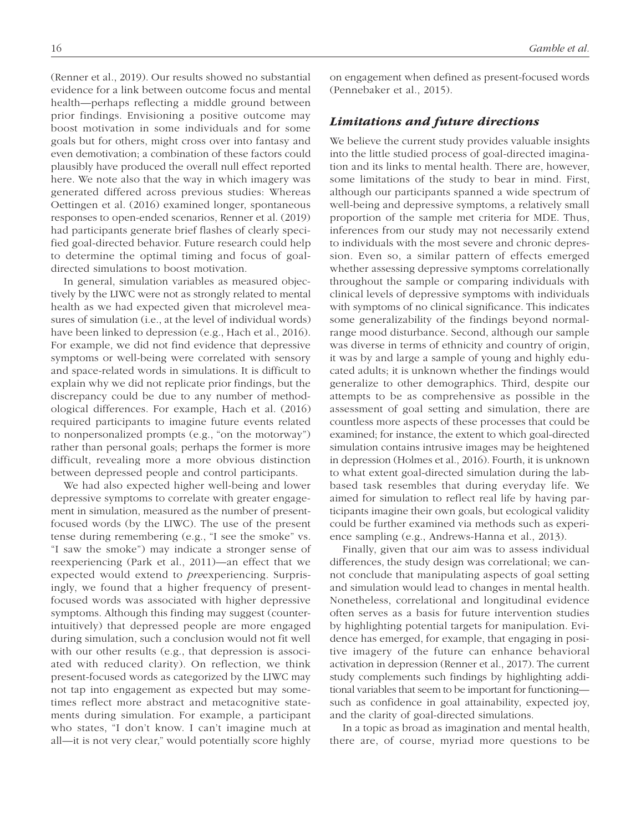(Renner et al., 2019). Our results showed no substantial evidence for a link between outcome focus and mental health—perhaps reflecting a middle ground between prior findings. Envisioning a positive outcome may boost motivation in some individuals and for some goals but for others, might cross over into fantasy and even demotivation; a combination of these factors could plausibly have produced the overall null effect reported here. We note also that the way in which imagery was generated differed across previous studies: Whereas Oettingen et al. (2016) examined longer, spontaneous responses to open-ended scenarios, Renner et al. (2019) had participants generate brief flashes of clearly specified goal-directed behavior. Future research could help to determine the optimal timing and focus of goaldirected simulations to boost motivation.

In general, simulation variables as measured objectively by the LIWC were not as strongly related to mental health as we had expected given that microlevel measures of simulation (i.e., at the level of individual words) have been linked to depression (e.g., Hach et al., 2016). For example, we did not find evidence that depressive symptoms or well-being were correlated with sensory and space-related words in simulations. It is difficult to explain why we did not replicate prior findings, but the discrepancy could be due to any number of methodological differences. For example, Hach et al. (2016) required participants to imagine future events related to nonpersonalized prompts (e.g., "on the motorway") rather than personal goals; perhaps the former is more difficult, revealing more a more obvious distinction between depressed people and control participants.

We had also expected higher well-being and lower depressive symptoms to correlate with greater engagement in simulation, measured as the number of presentfocused words (by the LIWC). The use of the present tense during remembering (e.g., "I see the smoke" vs. "I saw the smoke") may indicate a stronger sense of reexperiencing (Park et al., 2011)—an effect that we expected would extend to *pre*experiencing. Surprisingly, we found that a higher frequency of presentfocused words was associated with higher depressive symptoms. Although this finding may suggest (counterintuitively) that depressed people are more engaged during simulation, such a conclusion would not fit well with our other results (e.g., that depression is associated with reduced clarity). On reflection, we think present-focused words as categorized by the LIWC may not tap into engagement as expected but may sometimes reflect more abstract and metacognitive statements during simulation. For example, a participant who states, "I don't know. I can't imagine much at all—it is not very clear," would potentially score highly

on engagement when defined as present-focused words (Pennebaker et al., 2015).

# *Limitations and future directions*

We believe the current study provides valuable insights into the little studied process of goal-directed imagination and its links to mental health. There are, however, some limitations of the study to bear in mind. First, although our participants spanned a wide spectrum of well-being and depressive symptoms, a relatively small proportion of the sample met criteria for MDE. Thus, inferences from our study may not necessarily extend to individuals with the most severe and chronic depression. Even so, a similar pattern of effects emerged whether assessing depressive symptoms correlationally throughout the sample or comparing individuals with clinical levels of depressive symptoms with individuals with symptoms of no clinical significance. This indicates some generalizability of the findings beyond normalrange mood disturbance. Second, although our sample was diverse in terms of ethnicity and country of origin, it was by and large a sample of young and highly educated adults; it is unknown whether the findings would generalize to other demographics. Third, despite our attempts to be as comprehensive as possible in the assessment of goal setting and simulation, there are countless more aspects of these processes that could be examined; for instance, the extent to which goal-directed simulation contains intrusive images may be heightened in depression (Holmes et al., 2016). Fourth, it is unknown to what extent goal-directed simulation during the labbased task resembles that during everyday life. We aimed for simulation to reflect real life by having participants imagine their own goals, but ecological validity could be further examined via methods such as experience sampling (e.g., Andrews-Hanna et al., 2013).

Finally, given that our aim was to assess individual differences, the study design was correlational; we cannot conclude that manipulating aspects of goal setting and simulation would lead to changes in mental health. Nonetheless, correlational and longitudinal evidence often serves as a basis for future intervention studies by highlighting potential targets for manipulation. Evidence has emerged, for example, that engaging in positive imagery of the future can enhance behavioral activation in depression (Renner et al., 2017). The current study complements such findings by highlighting additional variables that seem to be important for functioning such as confidence in goal attainability, expected joy, and the clarity of goal-directed simulations.

In a topic as broad as imagination and mental health, there are, of course, myriad more questions to be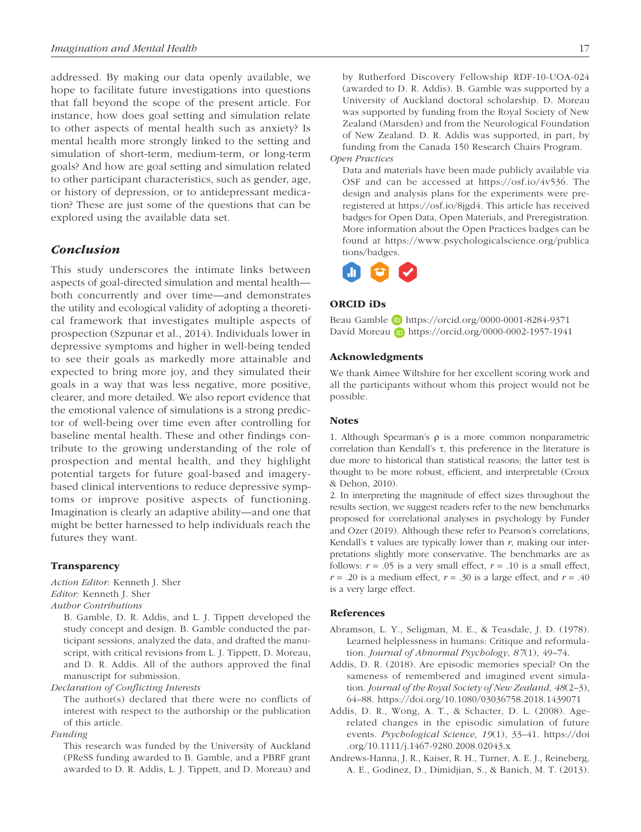addressed. By making our data openly available, we hope to facilitate future investigations into questions that fall beyond the scope of the present article. For instance, how does goal setting and simulation relate to other aspects of mental health such as anxiety? Is mental health more strongly linked to the setting and simulation of short-term, medium-term, or long-term goals? And how are goal setting and simulation related to other participant characteristics, such as gender, age, or history of depression, or to antidepressant medication? These are just some of the questions that can be explored using the available data set.

# *Conclusion*

This study underscores the intimate links between aspects of goal-directed simulation and mental health both concurrently and over time—and demonstrates the utility and ecological validity of adopting a theoretical framework that investigates multiple aspects of prospection (Szpunar et al., 2014). Individuals lower in depressive symptoms and higher in well-being tended to see their goals as markedly more attainable and expected to bring more joy, and they simulated their goals in a way that was less negative, more positive, clearer, and more detailed. We also report evidence that the emotional valence of simulations is a strong predictor of well-being over time even after controlling for baseline mental health. These and other findings contribute to the growing understanding of the role of prospection and mental health, and they highlight potential targets for future goal-based and imagerybased clinical interventions to reduce depressive symptoms or improve positive aspects of functioning. Imagination is clearly an adaptive ability—and one that might be better harnessed to help individuals reach the futures they want.

#### Transparency

*Action Editor:* Kenneth J. Sher *Editor:* Kenneth J. Sher *Author Contributions*

B. Gamble, D. R. Addis, and L. J. Tippett developed the study concept and design. B. Gamble conducted the participant sessions, analyzed the data, and drafted the manuscript, with critical revisions from L. J. Tippett, D. Moreau, and D. R. Addis. All of the authors approved the final manuscript for submission.

#### *Declaration of Conflicting Interests*

The author(s) declared that there were no conflicts of interest with respect to the authorship or the publication of this article.

#### *Funding*

This research was funded by the University of Auckland (PReSS funding awarded to B. Gamble, and a PBRF grant awarded to D. R. Addis, L. J. Tippett, and D. Moreau) and by Rutherford Discovery Fellowship RDF-10-UOA-024 (awarded to D. R. Addis). B. Gamble was supported by a University of Auckland doctoral scholarship. D. Moreau was supported by funding from the Royal Society of New Zealand (Marsden) and from the Neurological Foundation of New Zealand. D. R. Addis was supported, in part, by funding from the Canada 150 Research Chairs Program.

# *Open Practices*

Data and materials have been made publicly available via OSF and can be accessed at <https://osf.io/4v536>. The design and analysis plans for the experiments were preregistered at [https://osf.io/8jgd4.](https://osf.io/8jgd4) This article has received badges for Open Data, Open Materials, and Preregistration. More information about the Open Practices badges can be found at [https://www.psychologicalscience.org/publica](https://www.psychologicalscience.org/publications/badges) [tions/badges](https://www.psychologicalscience.org/publications/badges).



#### ORCID iDs

Beau Gamble <https://orcid.org/0000-0001-8284-9371> David Moreau **b** <https://orcid.org/0000-0002-1957-1941>

#### Acknowledgments

We thank Aimee Wiltshire for her excellent scoring work and all the participants without whom this project would not be possible.

#### **Notes**

1. Although Spearman's ρ is a more common nonparametric correlation than Kendall's τ, this preference in the literature is due more to historical than statistical reasons; the latter test is thought to be more robust, efficient, and interpretable (Croux & Dehon, 2010).

2. In interpreting the magnitude of effect sizes throughout the results section, we suggest readers refer to the new benchmarks proposed for correlational analyses in psychology by Funder and Ozer (2019). Although these refer to Pearson's correlations, Kendall's  $\tau$  values are typically lower than  $r$ , making our interpretations slightly more conservative. The benchmarks are as follows:  $r = .05$  is a very small effect,  $r = .10$  is a small effect,  $r = .20$  is a medium effect,  $r = .30$  is a large effect, and  $r = .40$ is a very large effect.

#### References

- Abramson, L. Y., Seligman, M. E., & Teasdale, J. D. (1978). Learned helplessness in humans: Critique and reformulation. *Journal of Abnormal Psychology*, *87*(1), 49–74.
- Addis, D. R. (2018). Are episodic memories special? On the sameness of remembered and imagined event simulation. *Journal of the Royal Society of New Zealand*, *48*(2–3), 64–88. <https://doi.org/10.1080/03036758.2018.1439071>
- Addis, D. R., Wong, A. T., & Schacter, D. L. (2008). Agerelated changes in the episodic simulation of future events. *Psychological Science*, *19*(1), 33–41. [https://doi](https://doi.org/10.1111/j.1467-9280.2008.02043.x) [.org/10.1111/j.1467-9280.2008.02043.x](https://doi.org/10.1111/j.1467-9280.2008.02043.x)
- Andrews-Hanna, J. R., Kaiser, R. H., Turner, A. E. J., Reineberg, A. E., Godinez, D., Dimidjian, S., & Banich, M. T. (2013).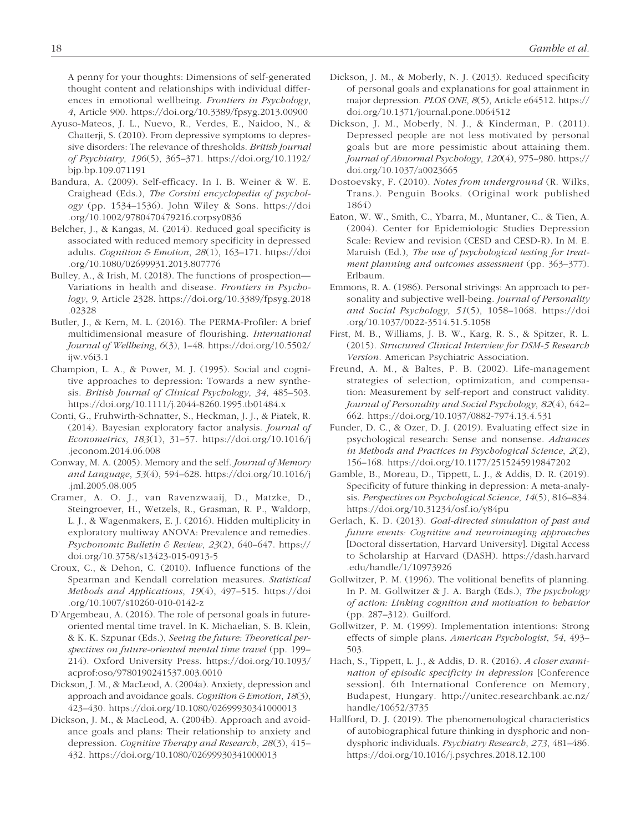A penny for your thoughts: Dimensions of self-generated thought content and relationships with individual differences in emotional wellbeing. *Frontiers in Psychology*, *4*, Article 900. <https://doi.org/10.3389/fpsyg.2013.00900>

- Ayuso-Mateos, J. L., Nuevo, R., Verdes, E., Naidoo, N., & Chatterji, S. (2010). From depressive symptoms to depressive disorders: The relevance of thresholds. *British Journal of Psychiatry*, *196*(5), 365–371. [https://doi.org/10.1192/](https://doi.org/10.1192/bjp.bp.109.071191) [bjp.bp.109.071191](https://doi.org/10.1192/bjp.bp.109.071191)
- Bandura, A. (2009). Self-efficacy. In I. B. Weiner & W. E. Craighead (Eds.), *The Corsini encyclopedia of psychology* (pp. 1534–1536). John Wiley & Sons. [https://doi](https://doi.org/10.1002/9780470479216.corpsy0836) [.org/10.1002/9780470479216.corpsy0836](https://doi.org/10.1002/9780470479216.corpsy0836)
- Belcher, J., & Kangas, M. (2014). Reduced goal specificity is associated with reduced memory specificity in depressed adults. *Cognition & Emotion*, *28*(1), 163–171. [https://doi](https://doi.org/10.1080/02699931.2013.807776) [.org/10.1080/02699931.2013.807776](https://doi.org/10.1080/02699931.2013.807776)
- Bulley, A., & Irish, M. (2018). The functions of prospection— Variations in health and disease. *Frontiers in Psychology*, *9*, Article 2328. [https://doi.org/10.3389/fpsyg.2018](https://doi.org/10.3389/fpsyg.2018.02328) [.02328](https://doi.org/10.3389/fpsyg.2018.02328)
- Butler, J., & Kern, M. L. (2016). The PERMA-Profiler: A brief multidimensional measure of flourishing. *International Journal of Wellbeing*, *6*(3), 1–48. [https://doi.org/10.5502/](https://doi.org/10.5502/ijw.v6i3.1) [ijw.v6i3.1](https://doi.org/10.5502/ijw.v6i3.1)
- Champion, L. A., & Power, M. J. (1995). Social and cognitive approaches to depression: Towards a new synthesis. *British Journal of Clinical Psychology*, *34*, 485–503. <https://doi.org/10.1111/j.2044-8260.1995.tb01484.x>
- Conti, G., Fruhwirth-Schnatter, S., Heckman, J. J., & Piatek, R. (2014). Bayesian exploratory factor analysis. *Journal of Econometrics*, *183*(1), 31–57. [https://doi.org/10.1016/j](https://doi.org/10.1016/j.jeconom.2014.06.008) [.jeconom.2014.06.008](https://doi.org/10.1016/j.jeconom.2014.06.008)
- Conway, M. A. (2005). Memory and the self. *Journal of Memory and Language*, *53*(4), 594–628. [https://doi.org/10.1016/j](https://doi.org/10.1016/j.jml.2005.08.005) [.jml.2005.08.005](https://doi.org/10.1016/j.jml.2005.08.005)
- Cramer, A. O. J., van Ravenzwaaij, D., Matzke, D., Steingroever, H., Wetzels, R., Grasman, R. P., Waldorp, L. J., & Wagenmakers, E. J. (2016). Hidden multiplicity in exploratory multiway ANOVA: Prevalence and remedies. *Psychonomic Bulletin & Review*, *23*(2), 640–647. [https://](https://doi.org/10.3758/s13423-015-0913-5) [doi.org/10.3758/s13423-015-0913-5](https://doi.org/10.3758/s13423-015-0913-5)
- Croux, C., & Dehon, C. (2010). Influence functions of the Spearman and Kendall correlation measures. *Statistical Methods and Applications*, *19*(4), 497–515. [https://doi](https://doi.org/10.1007/s10260-010-0142-z) [.org/10.1007/s10260-010-0142-z](https://doi.org/10.1007/s10260-010-0142-z)
- D'Argembeau, A. (2016). The role of personal goals in futureoriented mental time travel. In K. Michaelian, S. B. Klein, & K. K. Szpunar (Eds.), *Seeing the future: Theoretical perspectives on future-oriented mental time travel* (pp. 199– 214). Oxford University Press. [https://doi.org/10.1093/](https://doi.org/10.1093/acprof:oso/9780190241537.003.0010) [acprof:oso/9780190241537.003.0010](https://doi.org/10.1093/acprof:oso/9780190241537.003.0010)
- Dickson, J. M., & MacLeod, A. (2004a). Anxiety, depression and approach and avoidance goals. *Cognition & Emotion*, *18*(3), 423–430. <https://doi.org/10.1080/02699930341000013>
- Dickson, J. M., & MacLeod, A. (2004b). Approach and avoidance goals and plans: Their relationship to anxiety and depression. *Cognitive Therapy and Research*, *28*(3), 415– 432. <https://doi.org/10.1080/02699930341000013>
- Dickson, J. M., & Moberly, N. J. (2013). Reduced specificity of personal goals and explanations for goal attainment in major depression. *PLOS ONE*, *8*(5), Article e64512. [https://](https://doi.org/10.1371/journal.pone.0064512) [doi.org/10.1371/journal.pone.0064512](https://doi.org/10.1371/journal.pone.0064512)
- Dickson, J. M., Moberly, N. J., & Kinderman, P. (2011). Depressed people are not less motivated by personal goals but are more pessimistic about attaining them. *Journal of Abnormal Psychology*, *120*(4), 975–980. [https://](https://doi.org/10.1037/a0023665) [doi.org/10.1037/a0023665](https://doi.org/10.1037/a0023665)
- Dostoevsky, F. (2010). *Notes from underground* (R. Wilks, Trans.). Penguin Books. (Original work published 1864)
- Eaton, W. W., Smith, C., Ybarra, M., Muntaner, C., & Tien, A. (2004). Center for Epidemiologic Studies Depression Scale: Review and revision (CESD and CESD-R). In M. E. Maruish (Ed.), *The use of psychological testing for treatment planning and outcomes assessment* (pp. 363–377). Erlbaum.
- Emmons, R. A. (1986). Personal strivings: An approach to personality and subjective well-being. *Journal of Personality and Social Psychology*, *51*(5), 1058–1068. [https://doi](https://doi.org/10.1037/0022-3514.51.5.1058) [.org/10.1037/0022-3514.51.5.1058](https://doi.org/10.1037/0022-3514.51.5.1058)
- First, M. B., Williams, J. B. W., Karg, R. S., & Spitzer, R. L. (2015). *Structured Clinical Interview for DSM-5 Research Version*. American Psychiatric Association.
- Freund, A. M., & Baltes, P. B. (2002). Life-management strategies of selection, optimization, and compensation: Measurement by self-report and construct validity. *Journal of Personality and Social Psychology*, *82*(4), 642– 662. <https://doi.org/10.1037/0882-7974.13.4.531>
- Funder, D. C., & Ozer, D. J. (2019). Evaluating effect size in psychological research: Sense and nonsense. *Advances in Methods and Practices in Psychological Science*, *2*(2), 156–168. <https://doi.org/10.1177/2515245919847202>
- Gamble, B., Moreau, D., Tippett, L. J., & Addis, D. R. (2019). Specificity of future thinking in depression: A meta-analysis. *Perspectives on Psychological Science*, *14*(5), 816–834. <https://doi.org/10.31234/osf.io/y84pu>
- Gerlach, K. D. (2013). *Goal-directed simulation of past and future events: Cognitive and neuroimaging approaches* [Doctoral dissertation, Harvard University]. Digital Access to Scholarship at Harvard (DASH). [https://dash.harvard](https://dash.harvard.edu/handle/1/10973926) [.edu/handle/1/10973926](https://dash.harvard.edu/handle/1/10973926)
- Gollwitzer, P. M. (1996). The volitional benefits of planning. In P. M. Gollwitzer & J. A. Bargh (Eds.), *The psychology of action: Linking cognition and motivation to behavior* (pp. 287–312). Guilford.
- Gollwitzer, P. M. (1999). Implementation intentions: Strong effects of simple plans. *American Psychologist*, *54*, 493– 503.
- Hach, S., Tippett, L. J., & Addis, D. R. (2016). *A closer examination of episodic specificity in depression* [Conference session]. 6th International Conference on Memory, Budapest, Hungary. [http://unitec.researchbank.ac.nz/](http://unitec.researchbank.ac.nz/handle/10652/3735) [handle/10652/3735](http://unitec.researchbank.ac.nz/handle/10652/3735)
- Hallford, D. J. (2019). The phenomenological characteristics of autobiographical future thinking in dysphoric and nondysphoric individuals. *Psychiatry Research*, *273*, 481–486. <https://doi.org/10.1016/j.psychres.2018.12.100>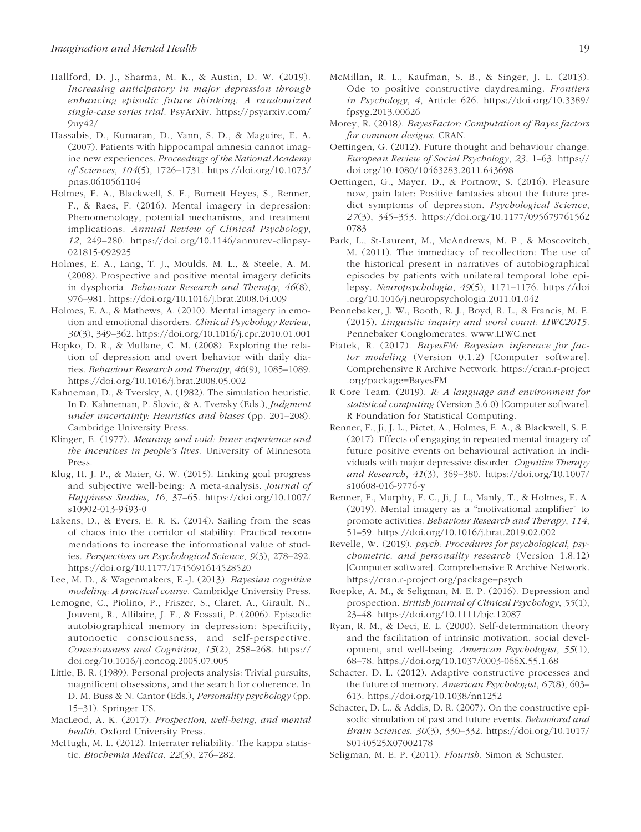- Hallford, D. J., Sharma, M. K., & Austin, D. W. (2019). *Increasing anticipatory in major depression through enhancing episodic future thinking: A randomized single-case series trial*. PsyArXiv. [https://psyarxiv.com/](https://psyarxiv.com/9uy42/) [9uy42/](https://psyarxiv.com/9uy42/)
- Hassabis, D., Kumaran, D., Vann, S. D., & Maguire, E. A. (2007). Patients with hippocampal amnesia cannot imagine new experiences. *Proceedings of the National Academy of Sciences*, *104*(5), 1726–1731. [https://doi.org/10.1073/](https://doi.org/10.1073/pnas.0610561104) [pnas.0610561104](https://doi.org/10.1073/pnas.0610561104)
- Holmes, E. A., Blackwell, S. E., Burnett Heyes, S., Renner, F., & Raes, F. (2016). Mental imagery in depression: Phenomenology, potential mechanisms, and treatment implications. *Annual Review of Clinical Psychology*, *12*, 249–280. [https://doi.org/10.1146/annurev-clinpsy-](https://doi.org/10.1146/annurev-clinpsy-021815-092925)[021815-092925](https://doi.org/10.1146/annurev-clinpsy-021815-092925)
- Holmes, E. A., Lang, T. J., Moulds, M. L., & Steele, A. M. (2008). Prospective and positive mental imagery deficits in dysphoria. *Behaviour Research and Therapy*, *46*(8), 976–981. <https://doi.org/10.1016/j.brat.2008.04.009>
- Holmes, E. A., & Mathews, A. (2010). Mental imagery in emotion and emotional disorders. *Clinical Psychology Review*, *30*(3), 349–362.<https://doi.org/10.1016/j.cpr.2010.01.001>
- Hopko, D. R., & Mullane, C. M. (2008). Exploring the relation of depression and overt behavior with daily diaries. *Behaviour Research and Therapy*, *46*(9), 1085–1089. <https://doi.org/10.1016/j.brat.2008.05.002>
- Kahneman, D., & Tversky, A. (1982). The simulation heuristic. In D. Kahneman, P. Slovic, & A. Tversky (Eds.), *Judgment under uncertainty: Heuristics and biases* (pp. 201–208). Cambridge University Press.
- Klinger, E. (1977). *Meaning and void: Inner experience and the incentives in people's lives*. University of Minnesota Press.
- Klug, H. J. P., & Maier, G. W. (2015). Linking goal progress and subjective well-being: A meta-analysis. *Journal of Happiness Studies*, *16*, 37–65. [https://doi.org/10.1007/](https://doi.org/10.1007/s10902-013-9493-0) [s10902-013-9493-0](https://doi.org/10.1007/s10902-013-9493-0)
- Lakens, D., & Evers, E. R. K. (2014). Sailing from the seas of chaos into the corridor of stability: Practical recommendations to increase the informational value of studies. *Perspectives on Psychological Science*, *9*(3), 278–292. <https://doi.org/10.1177/1745691614528520>
- Lee, M. D., & Wagenmakers, E.-J. (2013). *Bayesian cognitive modeling: A practical course*. Cambridge University Press.
- Lemogne, C., Piolino, P., Friszer, S., Claret, A., Girault, N., Jouvent, R., Allilaire, J. F., & Fossati, P. (2006). Episodic autobiographical memory in depression: Specificity, autonoetic consciousness, and self-perspective. *Consciousness and Cognition*, *15*(2), 258–268. [https://](https://doi.org/10.1016/j.concog.2005.07.005) [doi.org/10.1016/j.concog.2005.07.005](https://doi.org/10.1016/j.concog.2005.07.005)
- Little, B. R. (1989). Personal projects analysis: Trivial pursuits, magnificent obsessions, and the search for coherence. In D. M. Buss & N. Cantor (Eds.), *Personality psychology* (pp. 15–31). Springer US.
- MacLeod, A. K. (2017). *Prospection, well-being, and mental health*. Oxford University Press.
- McHugh, M. L. (2012). Interrater reliability: The kappa statistic. *Biochemia Medica*, *22*(3), 276–282.
- McMillan, R. L., Kaufman, S. B., & Singer, J. L. (2013). Ode to positive constructive daydreaming. *Frontiers in Psychology*, *4*, Article 626. [https://doi.org/10.3389/](https://doi.org/10.3389/fpsyg.2013.00626) [fpsyg.2013.00626](https://doi.org/10.3389/fpsyg.2013.00626)
- Morey, R. (2018). *BayesFactor: Computation of Bayes factors for common designs*. CRAN.
- Oettingen, G. (2012). Future thought and behaviour change. *European Review of Social Psychology*, *23*, 1–63. [https://](https://doi.org/10.1080/10463283.2011.643698) [doi.org/10.1080/10463283.2011.643698](https://doi.org/10.1080/10463283.2011.643698)
- Oettingen, G., Mayer, D., & Portnow, S. (2016). Pleasure now, pain later: Positive fantasies about the future predict symptoms of depression. *Psychological Science*, *27*(3), 345–353. [https://doi.org/10.1177/095679761562](https://doi.org/10.1177/0956797615620783) [0783](https://doi.org/10.1177/0956797615620783)
- Park, L., St-Laurent, M., McAndrews, M. P., & Moscovitch, M. (2011). The immediacy of recollection: The use of the historical present in narratives of autobiographical episodes by patients with unilateral temporal lobe epilepsy. *Neuropsychologia*, *49*(5), 1171–1176. [https://doi](https://doi.org/10.1016/j.neuropsychologia.2011.01.042) [.org/10.1016/j.neuropsychologia.2011.01.042](https://doi.org/10.1016/j.neuropsychologia.2011.01.042)
- Pennebaker, J. W., Booth, R. J., Boyd, R. L., & Francis, M. E. (2015). *Linguistic inquiry and word count: LIWC2015*. Pennebaker Conglomerates.<www.LIWC.net>
- Piatek, R. (2017). *BayesFM: Bayesian inference for factor modeling* (Version 0.1.2) [Computer software]. Comprehensive R Archive Network. [https://cran.r-project](https://cran.r-project.org/package=BayesFM) [.org/package=BayesFM](https://cran.r-project.org/package=BayesFM)
- R Core Team. (2019). *R: A language and environment for statistical computing* (Version 3.6.0) [Computer software]. R Foundation for Statistical Computing.
- Renner, F., Ji, J. L., Pictet, A., Holmes, E. A., & Blackwell, S. E. (2017). Effects of engaging in repeated mental imagery of future positive events on behavioural activation in individuals with major depressive disorder. *Cognitive Therapy and Research*, *41*(3), 369–380. [https://doi.org/10.1007/](https://doi.org/10.1007/s10608-016-9776-y) [s10608-016-9776-y](https://doi.org/10.1007/s10608-016-9776-y)
- Renner, F., Murphy, F. C., Ji, J. L., Manly, T., & Holmes, E. A. (2019). Mental imagery as a "motivational amplifier" to promote activities. *Behaviour Research and Therapy*, *114*, 51–59. <https://doi.org/10.1016/j.brat.2019.02.002>
- Revelle, W. (2019). *psych: Procedures for psychological, psychometric, and personality research* (Version 1.8.12) [Computer software]. Comprehensive R Archive Network. <https://cran.r-project.org/package=psych>
- Roepke, A. M., & Seligman, M. E. P. (2016). Depression and prospection. *British Journal of Clinical Psychology*, *55*(1), 23–48. <https://doi.org/10.1111/bjc.12087>
- Ryan, R. M., & Deci, E. L. (2000). Self-determination theory and the facilitation of intrinsic motivation, social development, and well-being. *American Psychologist*, *55*(1), 68–78. <https://doi.org/10.1037/0003-066X.55.1.68>
- Schacter, D. L. (2012). Adaptive constructive processes and the future of memory. *American Psychologist*, *67*(8), 603– 613.<https://doi.org/10.1038/nn1252>
- Schacter, D. L., & Addis, D. R. (2007). On the constructive episodic simulation of past and future events. *Behavioral and Brain Sciences*, *30*(3), 330–332. [https://doi.org/10.1017/](https://doi.org/10.1017/S0140525X07002178) [S0140525X07002178](https://doi.org/10.1017/S0140525X07002178)
- Seligman, M. E. P. (2011). *Flourish*. Simon & Schuster.